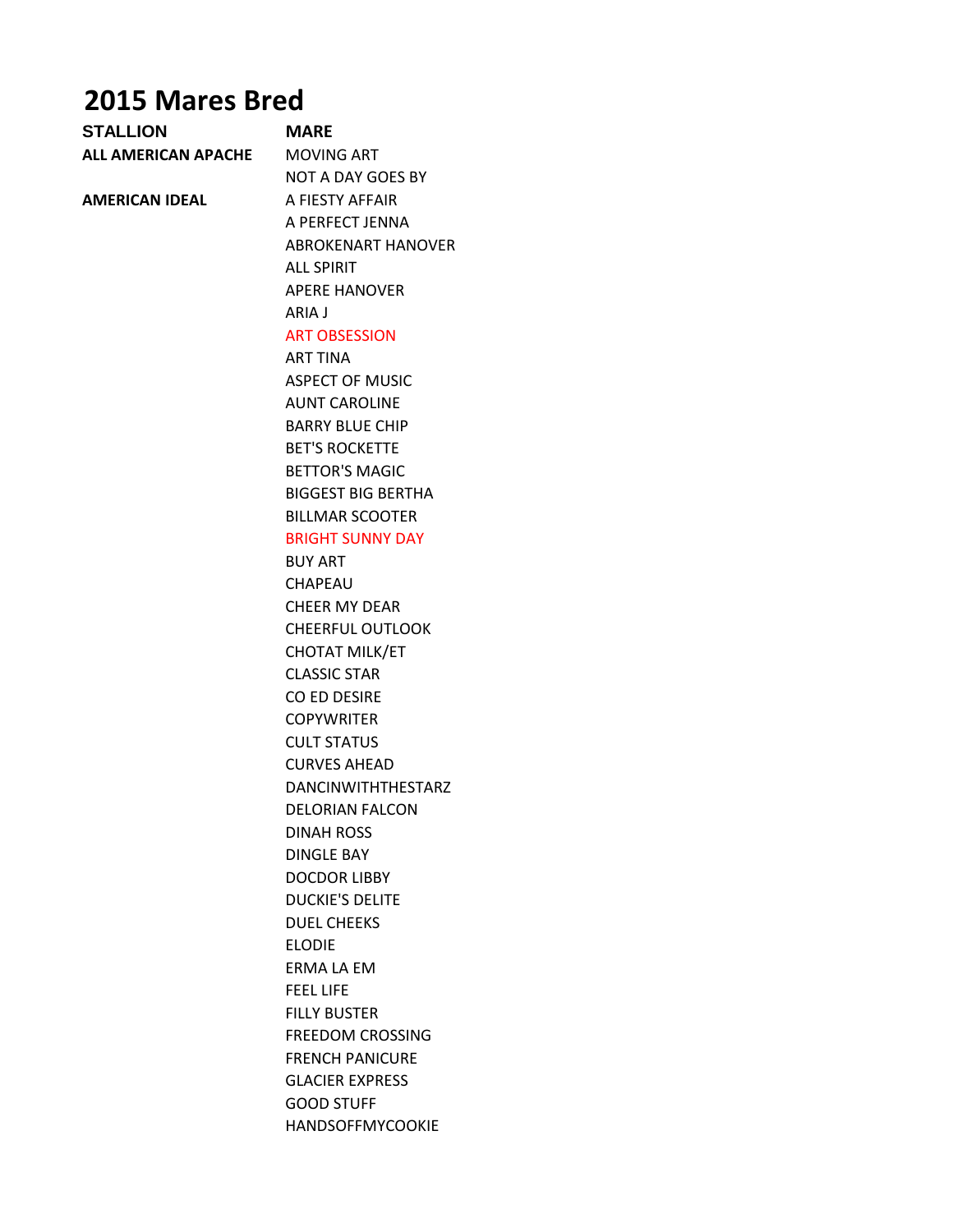# **2015 Mares Bred**

| <b>STALLION</b>       | <b>MARE</b>               |
|-----------------------|---------------------------|
| ALL AMERICAN APACHE   | <b>MOVING ART</b>         |
|                       | NOT A DAY GOES BY         |
| <b>AMERICAN IDEAL</b> | A FIFSTY AFFAIR           |
|                       | A PERFECT JENNA           |
|                       | <b>ABROKENART HANOVER</b> |
|                       | <b>ALL SPIRIT</b>         |
|                       | <b>APERE HANOVER</b>      |
|                       | ARIA J                    |
|                       | <b>ART OBSESSION</b>      |
|                       | <b>ART TINA</b>           |
|                       | <b>ASPECT OF MUSIC</b>    |
|                       | <b>AUNT CAROLINE</b>      |
|                       | <b>BARRY BLUF CHIP</b>    |
|                       | <b>BET'S ROCKETTE</b>     |
|                       | <b>BETTOR'S MAGIC</b>     |
|                       | <b>BIGGEST BIG BERTHA</b> |
|                       | <b>BILLMAR SCOOTER</b>    |
|                       | <b>BRIGHT SUNNY DAY</b>   |
|                       | <b>BUY ART</b>            |
|                       | CHAPEAU                   |
|                       | <b>CHEER MY DEAR</b>      |
|                       | <b>CHEERFUL OUTLOOK</b>   |
|                       | <b>CHOTAT MILK/ET</b>     |
|                       | <b>CLASSIC STAR</b>       |
|                       | <b>CO ED DESIRE</b>       |
|                       | <b>COPYWRITER</b>         |
|                       | <b>CULT STATUS</b>        |
|                       | <b>CURVES AHEAD</b>       |
|                       | <b>DANCINWITHTHESTARZ</b> |
|                       | <b>DELORIAN FALCON</b>    |
|                       | <b>DINAH ROSS</b>         |
|                       | <b>DINGLF BAY</b>         |
|                       | <b>DOCDOR LIBBY</b>       |
|                       | <b>DUCKIE'S DELITE</b>    |
|                       | <b>DUEL CHEEKS</b>        |
|                       | <b>ELODIE</b>             |
|                       | <b>FRMALA FM</b>          |
|                       | <b>FFFL LIFF</b>          |
|                       | <b>FILLY BUSTER</b>       |
|                       | <b>FREEDOM CROSSING</b>   |
|                       | <b>FRENCH PANICURE</b>    |
|                       | <b>GLACIER EXPRESS</b>    |
|                       | <b>GOOD STUFF</b>         |
|                       | <b>HANDSOFFMYCOOKIE</b>   |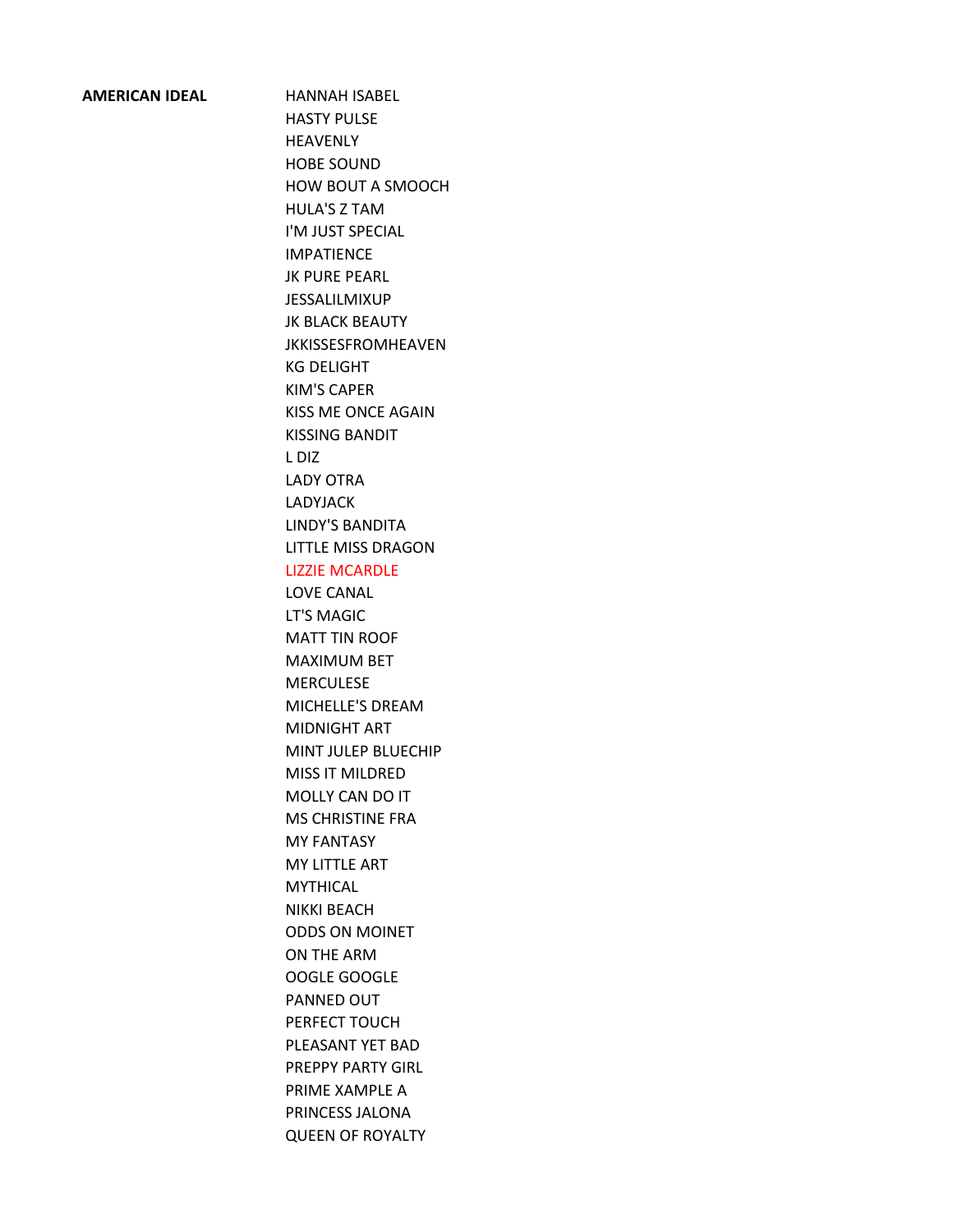**AMERICAN IDEAL** HANNAH ISABEL HASTY PULSE HEAVENLY HOBE SOUND HOW BOUT A SMOOCH HULA'S Z TAM I'M JUST SPECIAL IMPATIENCE JK PURE PEARL JESSALILMIXUP JK BLACK BEAUTY JKKISSESFROMHEAVEN KG DELIGHT KIM'S CAPER KISS ME ONCE AGAIN KISSING BANDIT L DIZ LADY OTRA LADYJACK LINDY'S BANDITA LITTLE MISS DRAGON LIZZIE MCARDLE LOVE CANAL LT'S MAGIC MATT TIN ROOF MAXIMUM BET MERCULESE MICHELLE'S DREAM MIDNIGHT ART MINT JULEP BLUECHIP MISS IT MILDRED MOLLY CAN DO IT MS CHRISTINE FRA MY FANTASY MY LITTLE ART MYTHICAL NIKKI BEACH ODDS ON MOINET ON THE ARM OOGLE GOOGLE PANNED OUT PERFECT TOUCH PLEASANT YET BAD PREPPY PARTY GIRL PRIME XAMPLE A PRINCESS JALONA QUEEN OF ROYALTY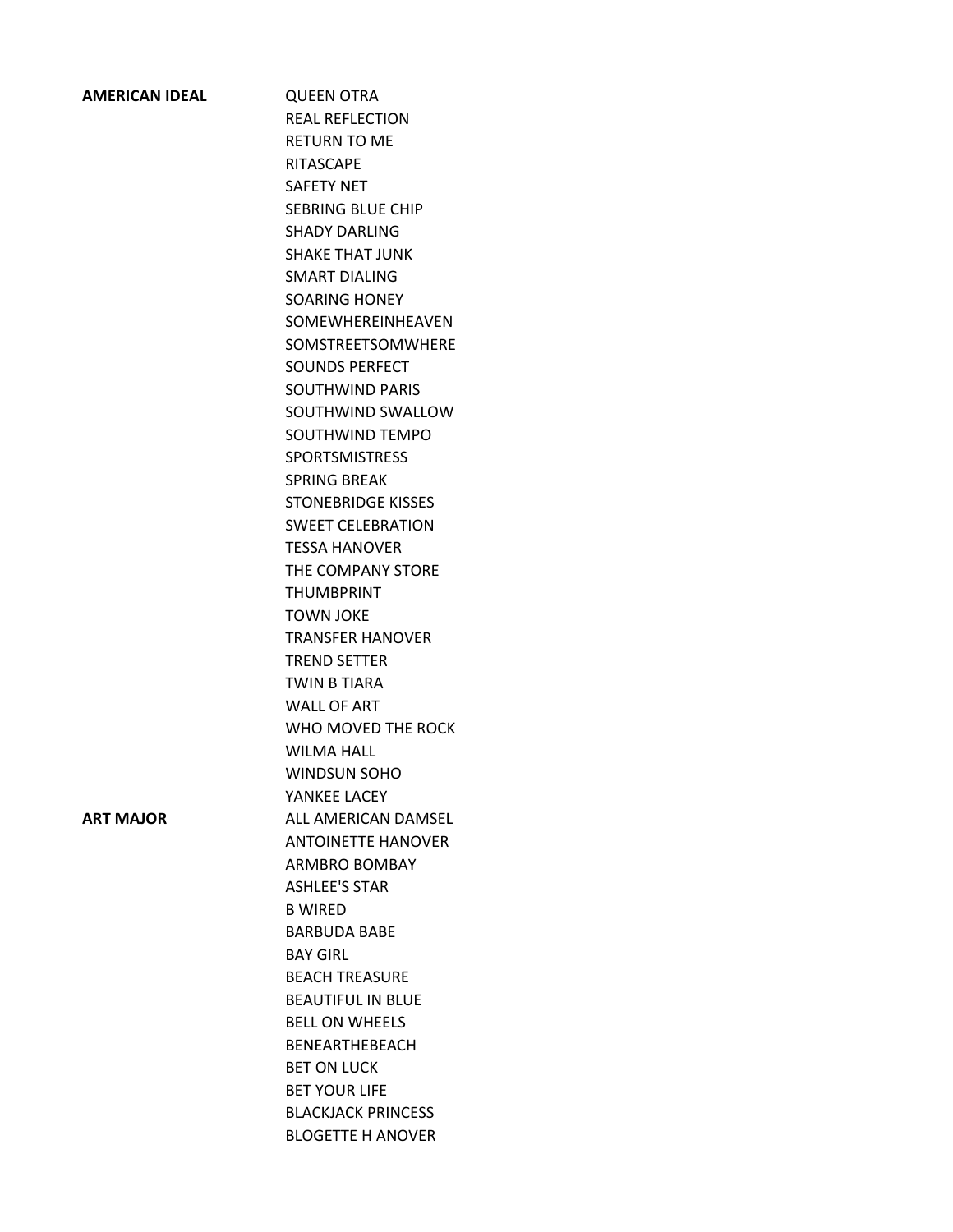| AMERICAN IDEAL | <b>QUEEN OTRA</b>                                |
|----------------|--------------------------------------------------|
|                | <b>REAL REFLECTION</b>                           |
|                | <b>RETURN TO ME</b>                              |
|                | <b>RITASCAPE</b>                                 |
|                | <b>SAFFTY NFT</b>                                |
|                | <b>SEBRING BLUE CHIP</b>                         |
|                | <b>SHADY DARLING</b>                             |
|                | <b>SHAKE THAT JUNK</b>                           |
|                | <b>SMART DIALING</b>                             |
|                | <b>SOARING HONEY</b>                             |
|                | SOMEWHEREINHEAVEN                                |
|                | SOMSTREETSOMWHERE                                |
|                | <b>SOUNDS PERFECT</b>                            |
|                | <b>SOUTHWIND PARIS</b>                           |
|                | SOUTHWIND SWALLOW                                |
|                | SOUTHWIND TEMPO                                  |
|                | <b>SPORTSMISTRESS</b>                            |
|                | <b>SPRING BREAK</b>                              |
|                | <b>STONEBRIDGE KISSES</b>                        |
|                | <b>SWEET CELEBRATION</b>                         |
|                | <b>TESSA HANOVER</b>                             |
|                | THE COMPANY STORE                                |
|                | <b>THUMBPRINT</b>                                |
|                | <b>TOWN JOKE</b>                                 |
|                | <b>TRANSFER HANOVER</b>                          |
|                | <b>TREND SETTER</b>                              |
|                | <b>TWIN B TIARA</b>                              |
|                | <b>WALL OF ART</b>                               |
|                | WHO MOVED THE ROCK                               |
|                | <b>WILMA HALL</b>                                |
|                | <b>WINDSUN SOHO</b>                              |
|                | YANKEE LACEY                                     |
| ART MAJOR      | ALL AMERICAN DAMSEL<br><b>ANTOINETTE HANOVER</b> |
|                | <b>ARMBRO BOMBAY</b>                             |
|                | <b>ASHLEE'S STAR</b>                             |
|                | <b>B WIRED</b>                                   |
|                | BARBUDA BABE                                     |
|                | <b>BAY GIRL</b>                                  |
|                | <b>BEACH TREASURE</b>                            |
|                | <b>BEAUTIFUL IN BLUE</b>                         |
|                | <b>BELL ON WHEELS</b>                            |
|                | <b>BENEARTHEBEACH</b>                            |
|                | <b>BET ON LUCK</b>                               |
|                | <b>BET YOUR LIFE</b>                             |
|                | <b>BLACKJACK PRINCESS</b>                        |
|                | <b>BLOGETTE H ANOVER</b>                         |
|                |                                                  |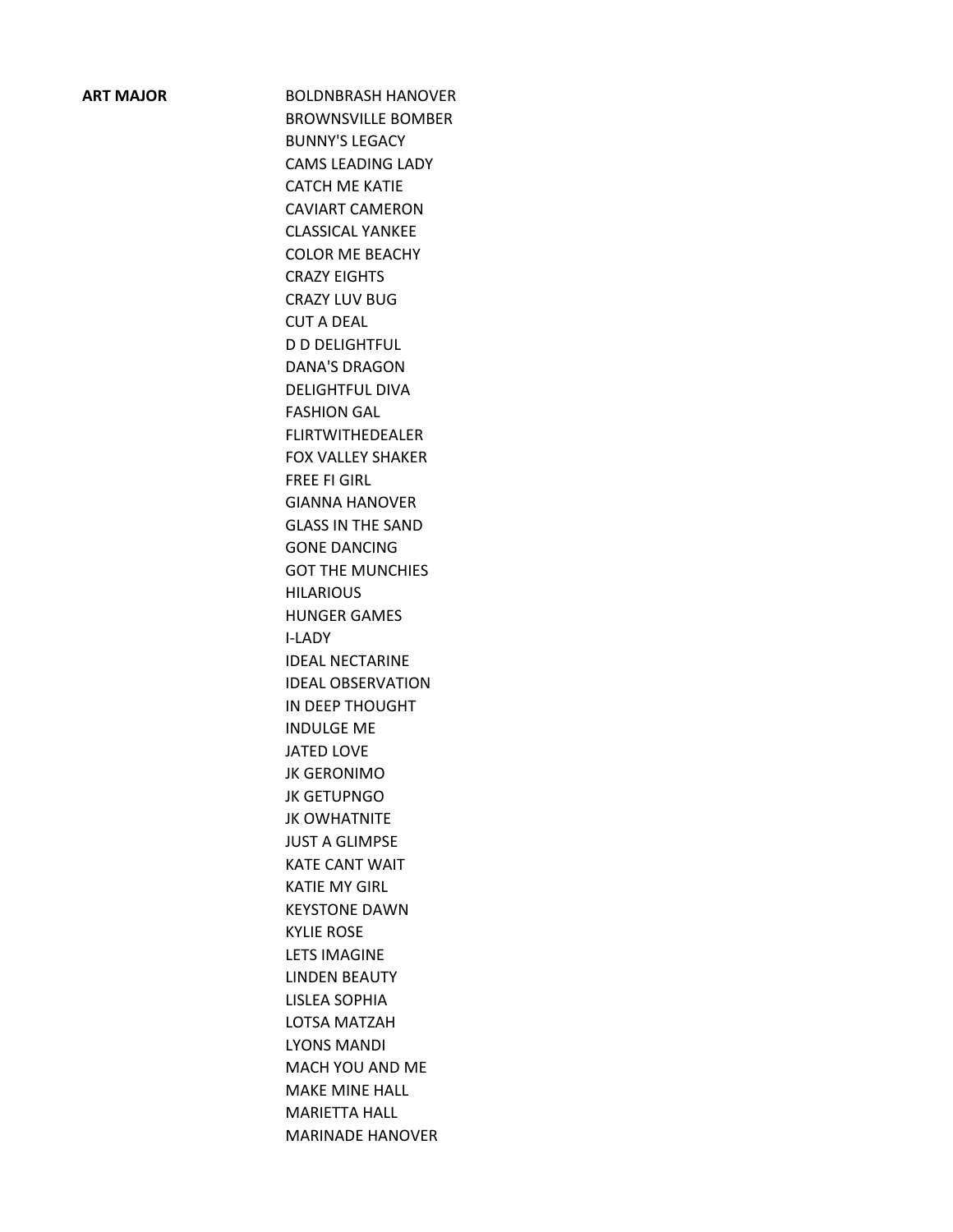**ART MAJOR BOLDNBRASH HANOVER** BROWNSVILLE BOMBER BUNNY'S LEGACY CAMS LEADING LADY CATCH ME KATIE CAVIART CAMERON CLASSICAL YANKEE COLOR ME BEACHY CRAZY EIGHTS CRAZY LUV BUG CUT A DEAL D D DELIGHTFUL DANA'S DRAGON DELIGHTFUL DIVA FASHION GAL FLIRTWITHEDEALER FOX VALLEY SHAKER FREE FI GIRL GIANNA HANOVER GLASS IN THE SAND GONE DANCING GOT THE MUNCHIES **HILARIOUS** HUNGER GAMES I-LADY IDEAL NECTARINE IDEAL OBSERVATION IN DEEP THOUGHT INDULGE ME JATED LOVE JK GERONIMO JK GETUPNGO JK OWHATNITE JUST A GLIMPSE KATE CANT WAIT KATIE MY GIRL KEYSTONE DAWN KYLIE ROSE LETS IMAGINE LINDEN BEAUTY LISLEA SOPHIA LOTSA MATZAH LYONS MANDI MACH YOU AND ME MAKE MINE HALL MARIETTA HALL MARINADE HANOVER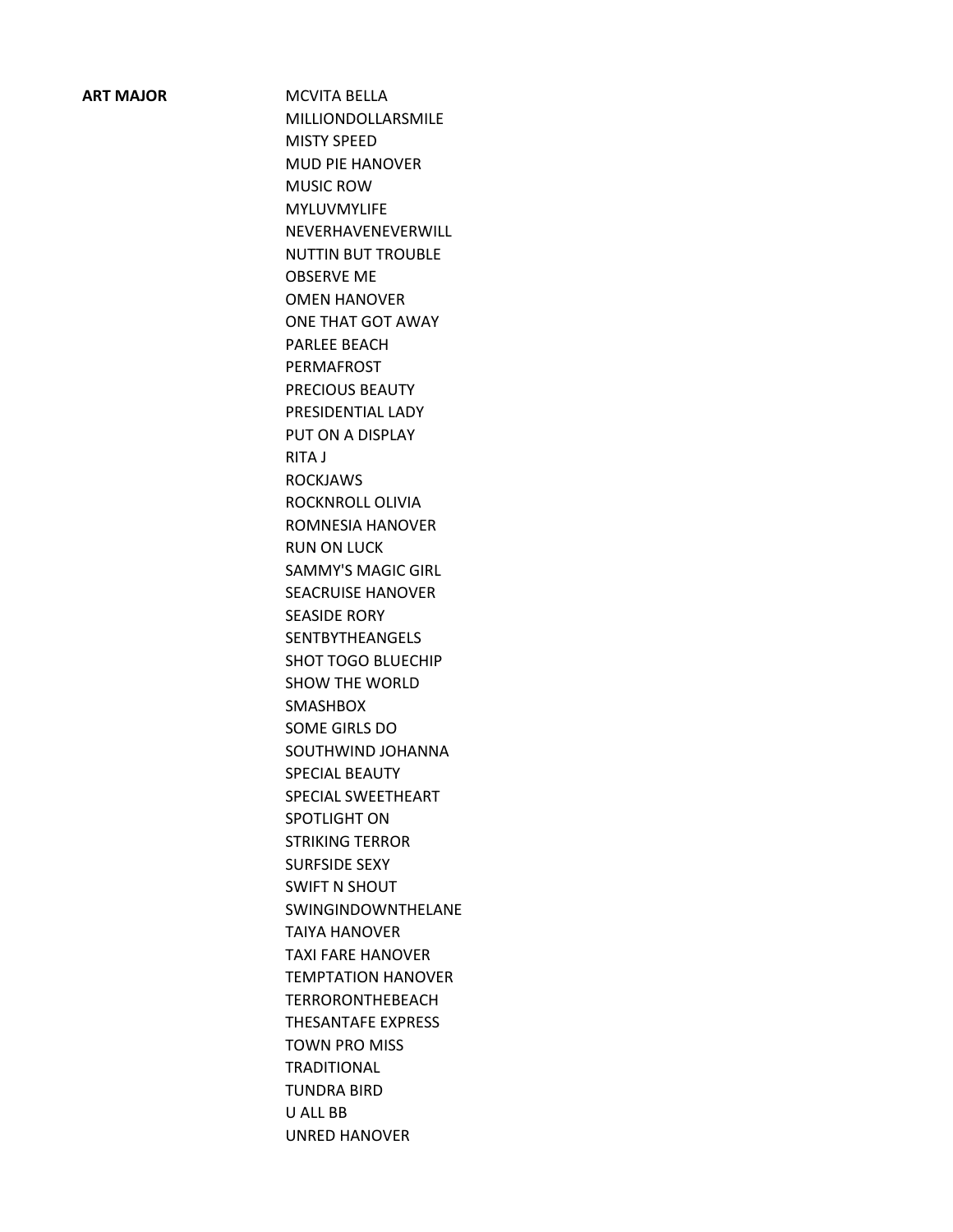**ART MAJOR MCVITA BELLA** MILLIONDOLLARSMILE MISTY SPEED MUD PIE HANOVER MUSIC ROW MYLUVMYLIFE NEVERHAVENEVERWILL NUTTIN BUT TROUBLE OBSERVE ME OMEN HANOVER ONE THAT GOT AWAY PARLEE BEACH PERMAFROST PRECIOUS BEAUTY PRESIDENTIAL LADY PUT ON A DISPLAY RITA J ROCKJAWS ROCKNROLL OLIVIA ROMNESIA HANOVER RUN ON LUCK SAMMY'S MAGIC GIRL SEACRUISE HANOVER SEASIDE RORY SENTBYTHEANGELS SHOT TOGO BLUECHIP SHOW THE WORLD SMASHBOX SOME GIRLS DO SOUTHWIND JOHANNA SPECIAL BEAUTY SPECIAL SWEETHEART SPOTLIGHT ON STRIKING TERROR SURFSIDE SEXY SWIFT N SHOUT SWINGINDOWNTHELANE TAIYA HANOVER TAXI FARE HANOVER TEMPTATION HANOVER TERRORONTHEBEACH THESANTAFE EXPRESS TOWN PRO MISS TRADITIONAL TUNDRA BIRD U ALL BB UNRED HANOVER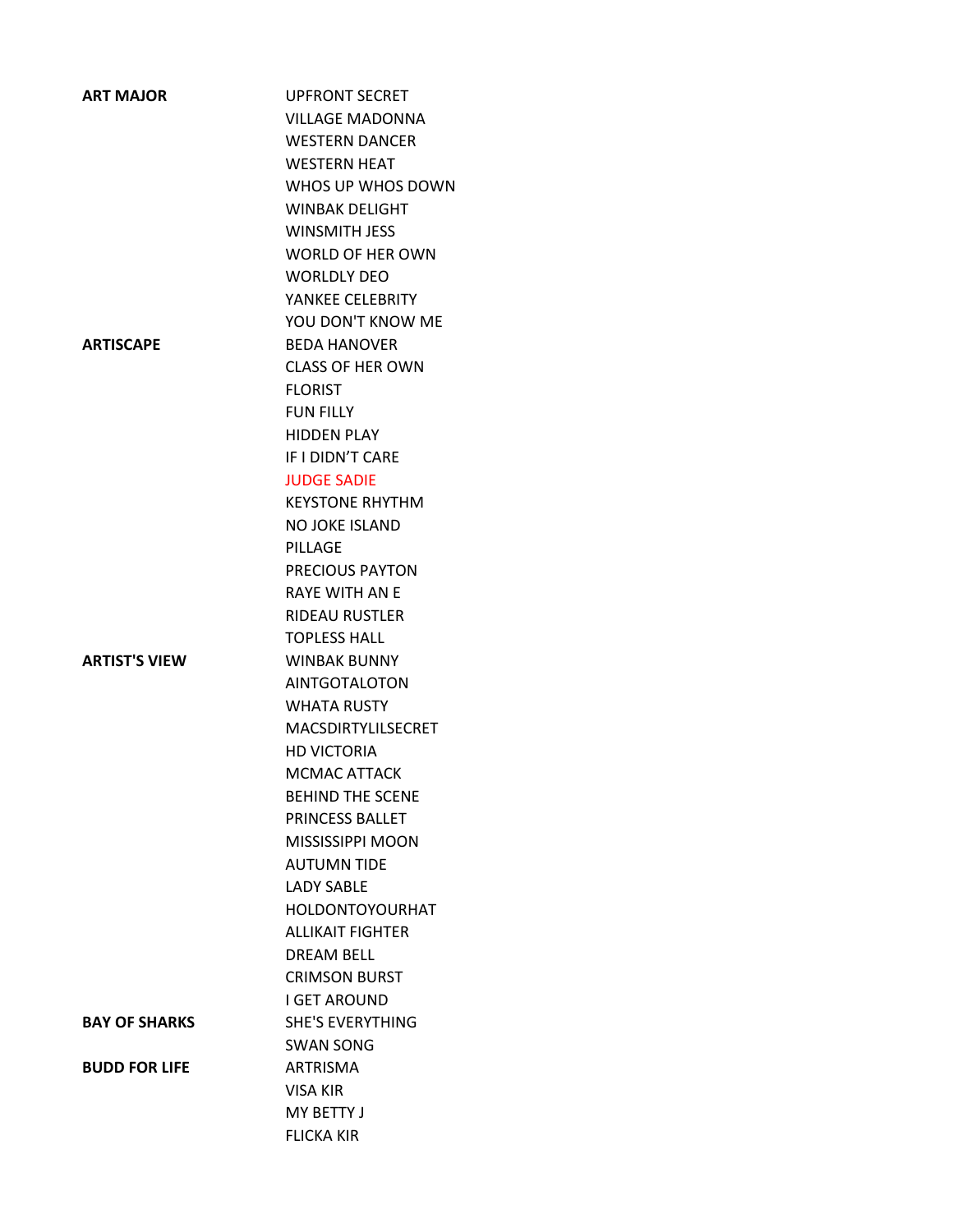| <b>ART MAJOR</b>     | <b>UPFRONT SECRET</b>     |
|----------------------|---------------------------|
|                      | <b>VILLAGE MADONNA</b>    |
|                      | <b>WESTERN DANCER</b>     |
|                      | <b>WESTERN HEAT</b>       |
|                      | WHOS UP WHOS DOWN         |
|                      | <b>WINBAK DELIGHT</b>     |
|                      | <b>WINSMITH JESS</b>      |
|                      | <b>WORLD OF HER OWN</b>   |
|                      | <b>WORLDLY DFO</b>        |
|                      | YANKEF CELEBRITY          |
|                      | YOU DON'T KNOW ME         |
| <b>ARTISCAPE</b>     | <b>BEDA HANOVER</b>       |
|                      | <b>CLASS OF HER OWN</b>   |
|                      | <b>FLORIST</b>            |
|                      | <b>FUN FILLY</b>          |
|                      | <b>HIDDEN PLAY</b>        |
|                      | IF I DIDN'T CARE          |
|                      | <b>JUDGE SADIE</b>        |
|                      | <b>KEYSTONE RHYTHM</b>    |
|                      | <b>NO JOKE ISLAND</b>     |
|                      | PILLAGE                   |
|                      | <b>PRECIOUS PAYTON</b>    |
|                      | <b>RAYE WITH AN E</b>     |
|                      | <b>RIDEAU RUSTLER</b>     |
|                      | <b>TOPLESS HALL</b>       |
| <b>ARTIST'S VIEW</b> | <b>WINBAK BUNNY</b>       |
|                      | <b>AINTGOTALOTON</b>      |
|                      | WHATA RUSTY               |
|                      | <b>MACSDIRTYLILSECRET</b> |
|                      | <b>HD VICTORIA</b>        |
|                      | <b>MCMAC ATTACK</b>       |
|                      | <b>BEHIND THE SCENE</b>   |
|                      | <b>PRINCESS BALLET</b>    |
|                      | MISSISSIPPI MOON          |
|                      | <b>AUTUMN TIDE</b>        |
|                      | <b>LADY SABLE</b>         |
|                      | <b>HOLDONTOYOURHAT</b>    |
|                      | <b>ALLIKAIT FIGHTER</b>   |
|                      | <b>DREAM BELL</b>         |
|                      | <b>CRIMSON BURST</b>      |
|                      | <b>I GET AROUND</b>       |
| <b>BAY OF SHARKS</b> | <b>SHE'S EVERYTHING</b>   |
|                      | <b>SWAN SONG</b>          |
| <b>BUDD FOR LIFE</b> | <b>ARTRISMA</b>           |
|                      | <b>VISA KIR</b>           |
|                      | <b>MY BETTY J</b>         |
|                      | <b>FLICKA KIR</b>         |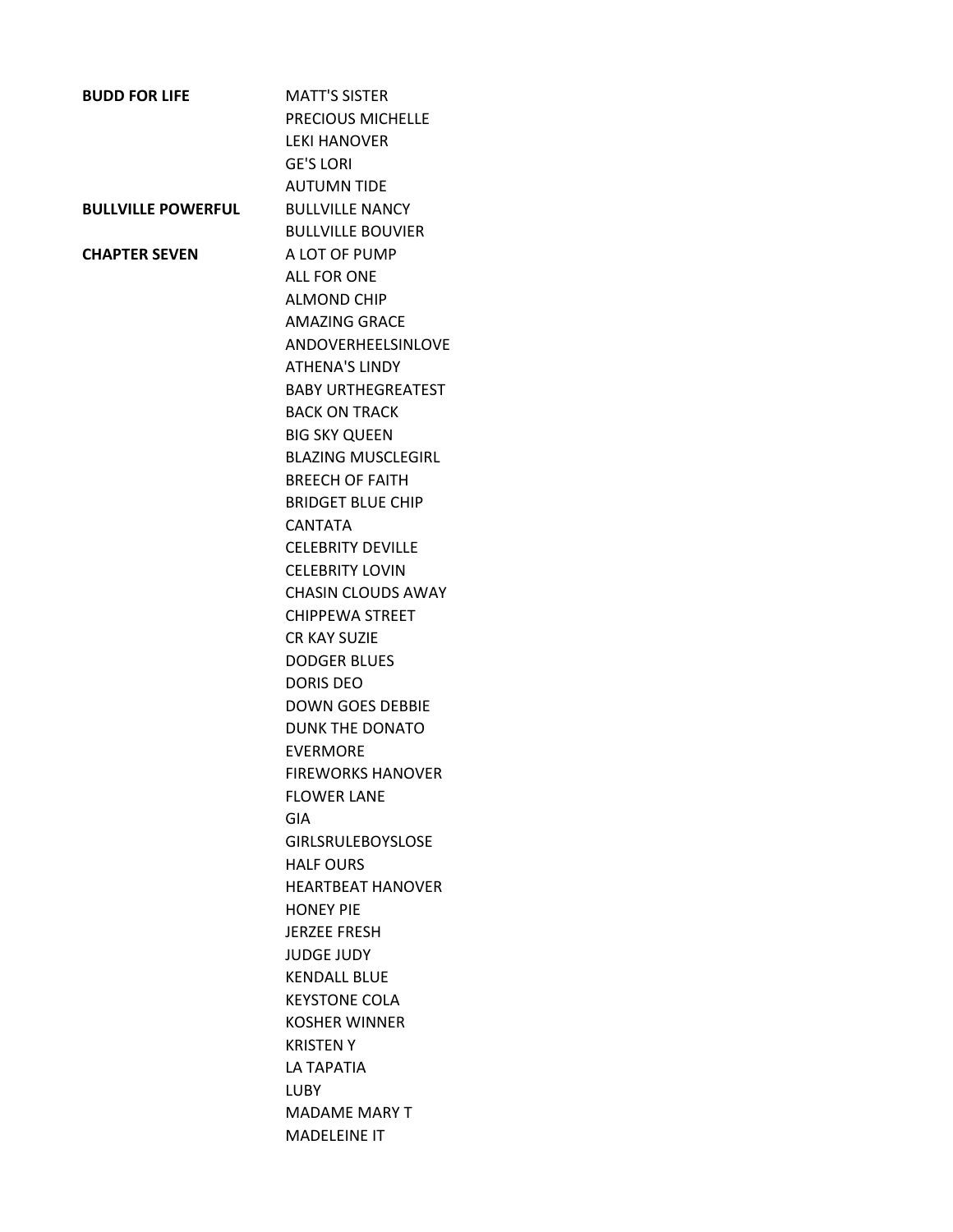| <b>BUDD FOR LIFE</b>      | <b>MATT'S SISTER</b>      |
|---------------------------|---------------------------|
|                           | PRECIOUS MICHELLE         |
|                           | <b>LFKI HANOVFR</b>       |
|                           | <b>GE'S LORI</b>          |
|                           | <b>AUTUMN TIDE</b>        |
| <b>BULLVILLE POWERFUL</b> | <b>BULLVILLE NANCY</b>    |
|                           | <b>BULLVILLE BOUVIER</b>  |
| <b>CHAPTER SEVEN</b>      | A LOT OF PUMP             |
|                           | <b>ALL FOR ONE</b>        |
|                           | <b>ALMOND CHIP</b>        |
|                           | <b>AMAZING GRACE</b>      |
|                           | ANDOVERHEELSINLOVE        |
|                           | <b>ATHENA'S LINDY</b>     |
|                           | <b>BABY URTHEGREATEST</b> |
|                           | <b>BACK ON TRACK</b>      |
|                           | <b>BIG SKY QUEEN</b>      |
|                           | <b>BLAZING MUSCLEGIRL</b> |
|                           | <b>BREECH OF FAITH</b>    |
|                           | <b>BRIDGET BLUE CHIP</b>  |
|                           | <b>CANTATA</b>            |
|                           | <b>CELEBRITY DEVILLE</b>  |
|                           | <b>CELEBRITY LOVIN</b>    |
|                           | <b>CHASIN CLOUDS AWAY</b> |
|                           | <b>CHIPPEWA STREET</b>    |
|                           | CR KAY SUZIE              |
|                           | <b>DODGER BLUES</b>       |
|                           | DORIS DEO                 |
|                           | <b>DOWN GOES DEBBIE</b>   |
|                           | <b>DUNK THE DONATO</b>    |
|                           | <b>EVERMORE</b>           |
|                           | <b>FIREWORKS HANOVER</b>  |
|                           | <b>FLOWER LANE</b>        |
|                           | GIA                       |
|                           | <b>GIRLSRULEBOYSLOSE</b>  |
|                           | <b>HALF OURS</b>          |
|                           | <b>HEARTBEAT HANOVER</b>  |
|                           | <b>HONEY PIE</b>          |
|                           | <b>JERZEE FRESH</b>       |
|                           | <b>JUDGE JUDY</b>         |
|                           | <b>KENDALL BLUE</b>       |
|                           | <b>KEYSTONE COLA</b>      |
|                           | <b>KOSHER WINNER</b>      |
|                           | <b>KRISTENY</b>           |
|                           | <b>LA TAPATIA</b>         |
|                           | LUBY                      |
|                           | <b>MADAME MARY T</b>      |
|                           | <b>MADELEINE IT</b>       |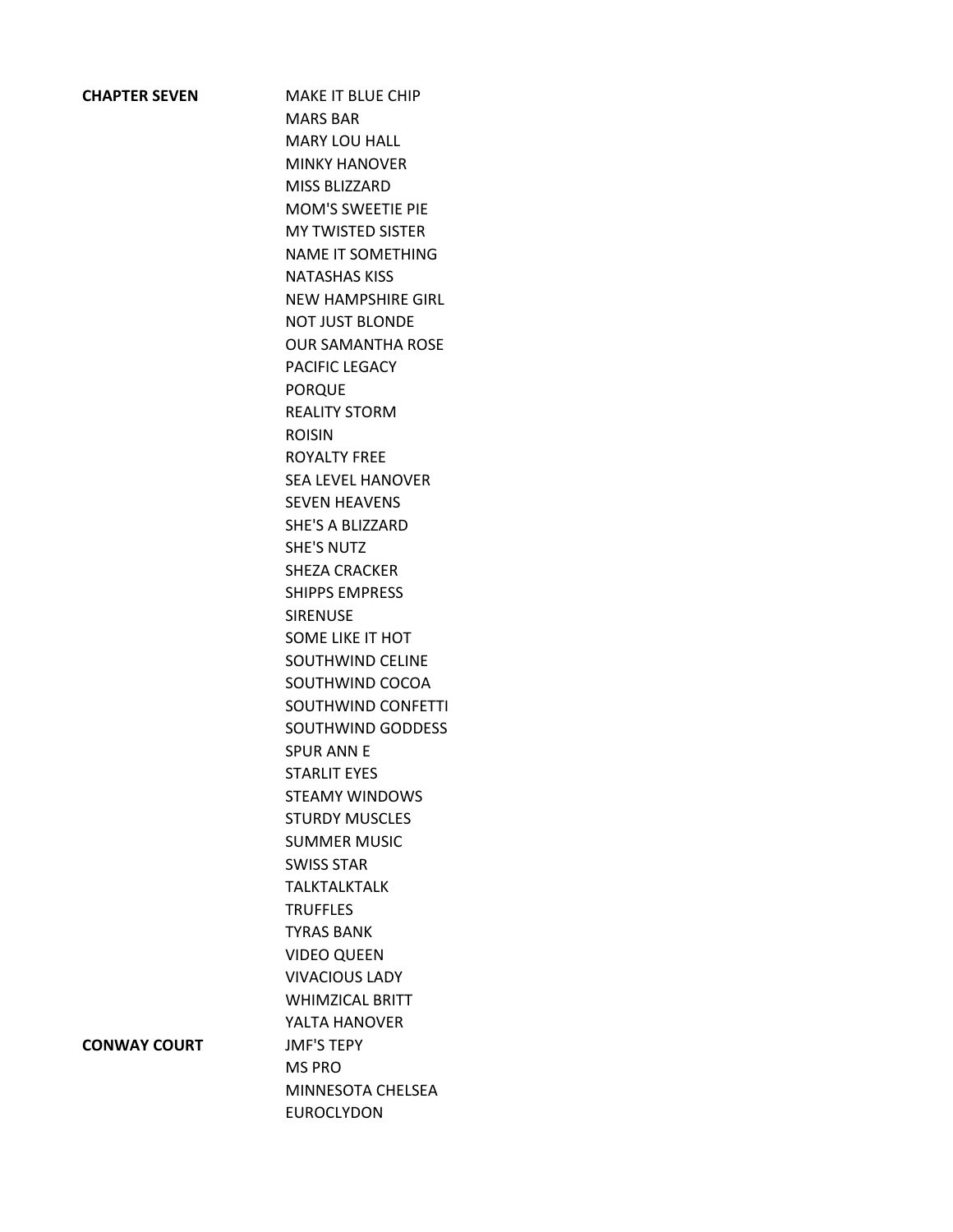**CHAPTER SEVEN** MAKE IT BLUE CHIP MARS BAR MARY LOU HALL MINKY HANOVER MISS BLIZZARD MOM'S SWEETIE PIE MY TWISTED SISTER NAME IT SOMETHING NATASHAS KISS NEW HAMPSHIRE GIRL NOT JUST BLONDE OUR SAMANTHA ROSE PACIFIC LEGACY PORQUE REALITY STORM ROISIN ROYALTY FREE SEA LEVEL HANOVER SEVEN HEAVENS SHE'S A BLIZZARD SHE'S NUTZ SHEZA CRACKER SHIPPS EMPRESS SIRENUSE SOME LIKE IT HOT SOUTHWIND CELINE SOUTHWIND COCOA SOUTHWIND CONFETTI SOUTHWIND GODDESS SPUR ANN E STARLIT EYES STEAMY WINDOWS STURDY MUSCLES SUMMER MUSIC SWISS STAR **TALKTALKTALK TRUFFLES** TYRAS BANK VIDEO QUEEN VIVACIOUS LADY WHIMZICAL BRITT YALTA HANOVER MS PRO MINNESOTA CHELSEA EUROCLYDON

**CONWAY COURT** JMF'S TEPY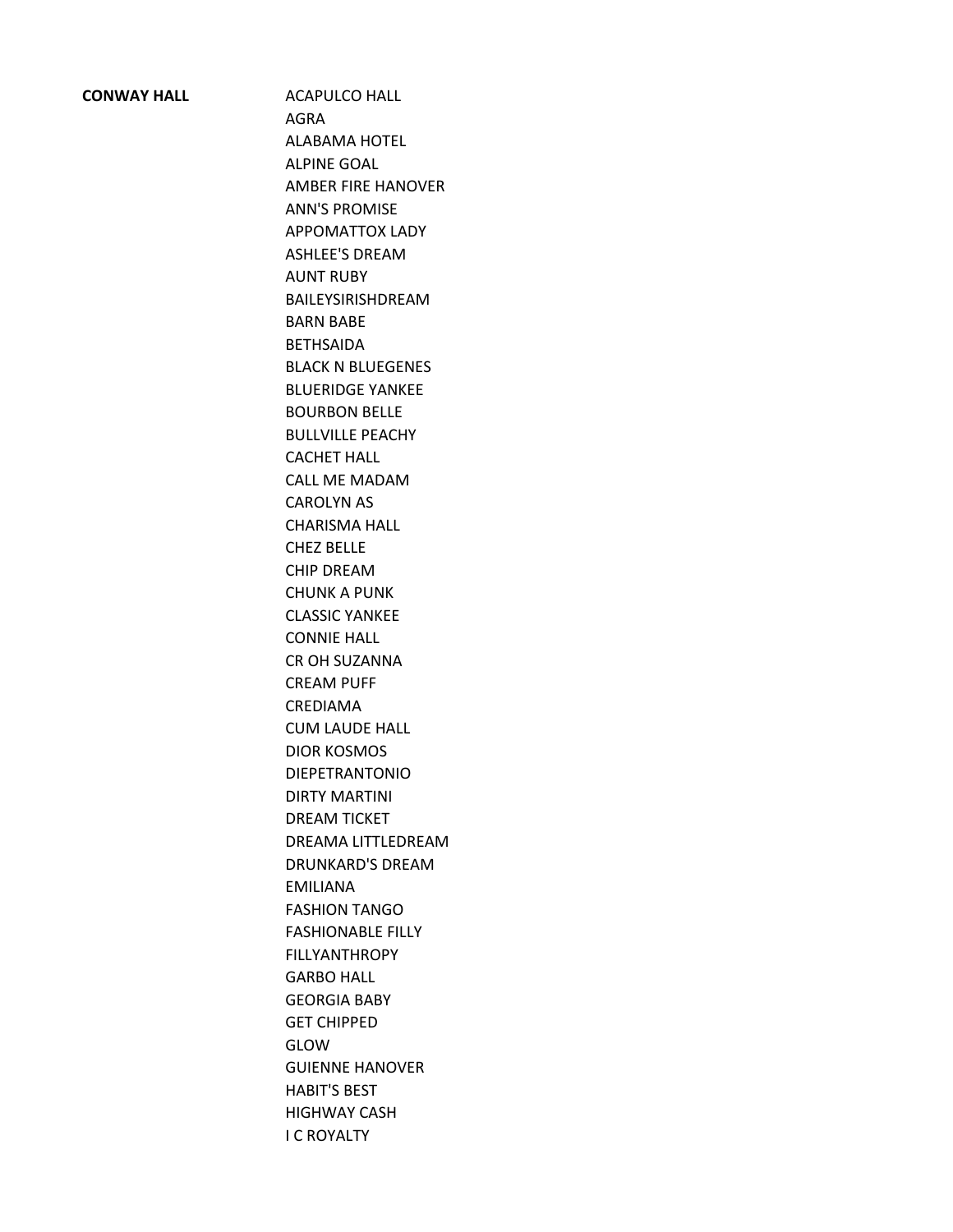**CONWAY HALL ACAPULCO HALL** AGRA ALABAMA HOTEL ALPINE GOAL AMBER FIRE HANOVER ANN'S PROMISE APPOMATTOX LADY ASHLEE'S DREAM AUNT RUBY BAILEYSIRISHDREAM BARN BABE BETHSAIDA BLACK N BLUEGENES BLUERIDGE YANKEE BOURBON BELLE BULLVILLE PEACHY CACHET HALL CALL ME MADAM CAROLYN AS CHARISMA HALL CHEZ BELLE CHIP DREAM CHUNK A PUNK CLASSIC YANKEE CONNIE HALL CR OH SUZANNA CREAM PUFF CREDIAMA CUM LAUDE HALL DIOR KOSMOS DIEPETRANTONIO DIRTY MARTINI DREAM TICKET DREAMA LITTLEDREAM DRUNKARD'S DREAM EMILIANA FASHION TANGO FASHIONABLE FILLY FILLYANTHROPY GARBO HALL GEORGIA BABY GET CHIPPED GLOW GUIENNE HANOVER HABIT'S BEST HIGHWAY CASH I C ROYALTY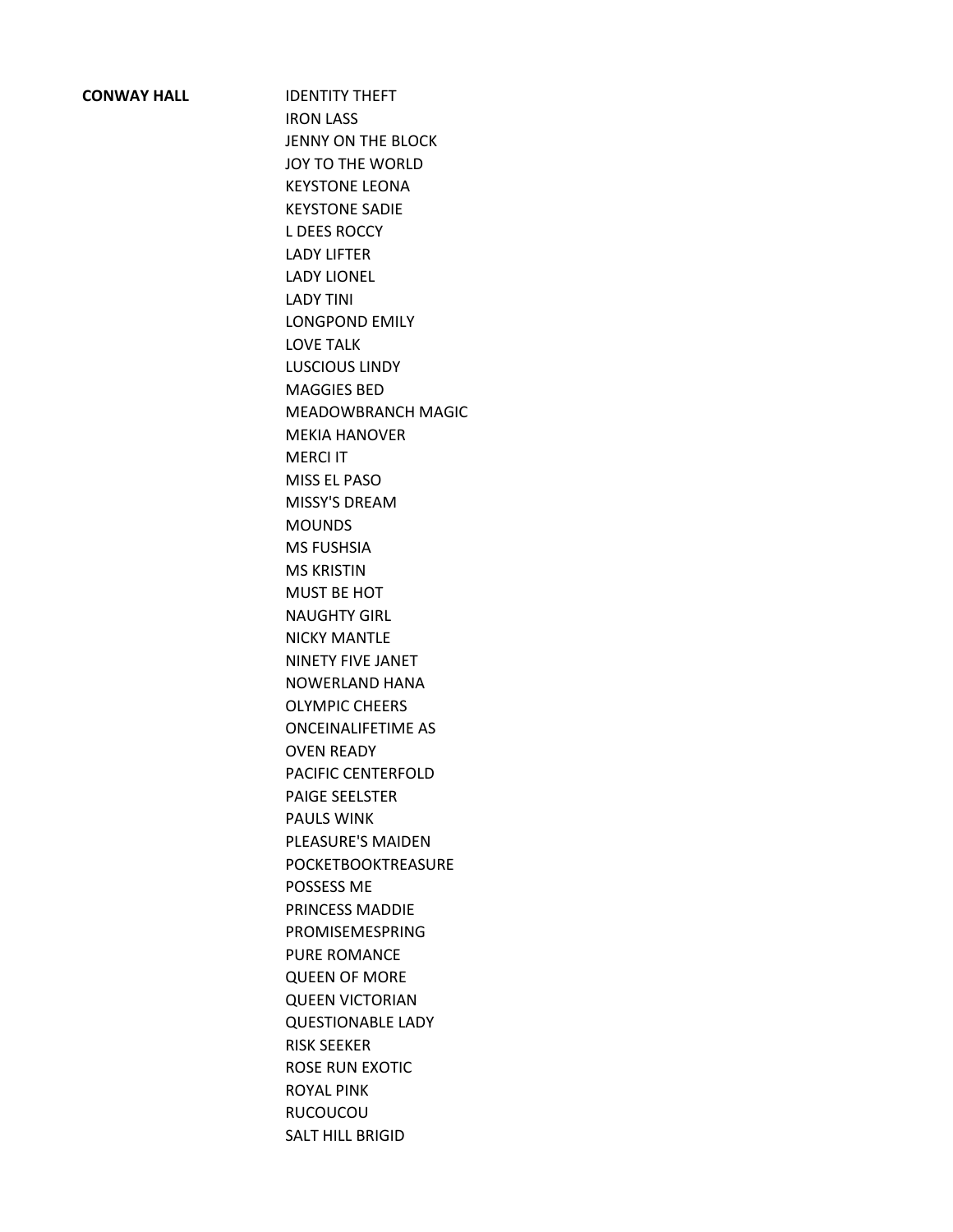**CONWAY HALL IDENTITY THEFT** IRON LASS JENNY ON THE BLOCK JOY TO THE WORLD KEYSTONE LEONA KEYSTONE SADIE L DEES ROCCY LADY LIFTER LADY LIONEL LADY TINI LONGPOND EMILY LOVE TALK LUSCIOUS LINDY MAGGIES BED MEADOWBRANCH MAGIC MEKIA HANOVER MERCI IT MISS EL PASO MISSY'S DREAM MOUNDS MS FUSHSIA MS KRISTIN MUST BE HOT NAUGHTY GIRL NICKY MANTLE NINETY FIVE JANET NOWERLAND HANA OLYMPIC CHEERS ONCEINALIFETIME AS OVEN READY PACIFIC CENTERFOLD PAIGE SEELSTER PAULS WINK PLEASURE'S MAIDEN POCKETBOOKTREASURE POSSESS ME PRINCESS MADDIE PROMISEMESPRING PURE ROMANCE QUEEN OF MORE QUEEN VICTORIAN QUESTIONABLE LADY RISK SEEKER ROSE RUN EXOTIC ROYAL PINK RUCOUCOU SALT HILL BRIGID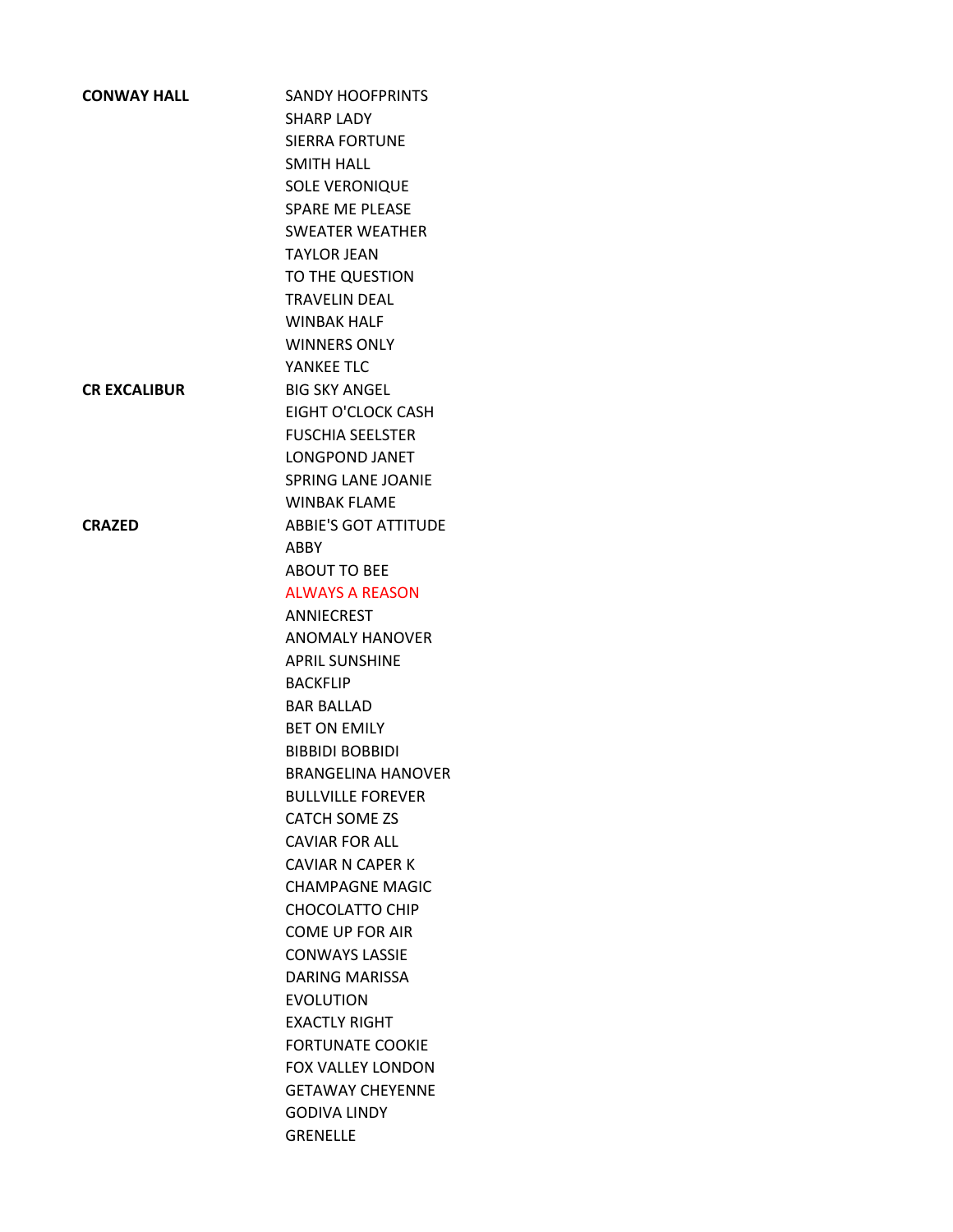| <b>CONWAY HALL</b>  | <b>SANDY HOOFPRINTS</b>     |
|---------------------|-----------------------------|
|                     | SHARP LADY                  |
|                     | <b>SIERRA FORTUNE</b>       |
|                     | <b>SMITH HALL</b>           |
|                     | <b>SOLE VERONIQUE</b>       |
|                     | <b>SPARE ME PLEASE</b>      |
|                     | <b>SWEATER WEATHER</b>      |
|                     | <b>TAYLOR JEAN</b>          |
|                     | TO THE QUESTION             |
|                     | <b>TRAVELIN DEAL</b>        |
|                     | <b>WINBAK HALF</b>          |
|                     | <b>WINNERS ONLY</b>         |
|                     | YANKEE TLC                  |
| <b>CR EXCALIBUR</b> | <b>BIG SKY ANGEL</b>        |
|                     | <b>EIGHT O'CLOCK CASH</b>   |
|                     | <b>FUSCHIA SEELSTER</b>     |
|                     | <b>LONGPOND JANET</b>       |
|                     | <b>SPRING LANE JOANIE</b>   |
|                     | <b>WINBAK FLAMF</b>         |
| <b>CRAZED</b>       | <b>ABBIE'S GOT ATTITUDE</b> |
|                     | ABBY                        |
|                     | <b>ABOUT TO BEE</b>         |
|                     | <b>ALWAYS A REASON</b>      |
|                     | ANNIECREST                  |
|                     | <b>ANOMALY HANOVER</b>      |
|                     | <b>APRIL SUNSHINE</b>       |
|                     | <b>BACKFLIP</b>             |
|                     | <b>BAR BALLAD</b>           |
|                     | <b>BFT ON FMILY</b>         |
|                     | <b>BIBBIDI BOBBIDI</b>      |
|                     | <b>BRANGELINA HANOVER</b>   |
|                     | <b>BULLVILLE FOREVER</b>    |
|                     | <b>CATCH SOME ZS</b>        |
|                     | <b>CAVIAR FOR ALL</b>       |
|                     | <b>CAVIAR N CAPER K</b>     |
|                     | <b>CHAMPAGNE MAGIC</b>      |
|                     | <b>CHOCOLATTO CHIP</b>      |
|                     | <b>COME UP FOR AIR</b>      |
|                     | <b>CONWAYS LASSIE</b>       |
|                     | DARING MARISSA              |
|                     | <b>EVOLUTION</b>            |
|                     | <b>EXACTLY RIGHT</b>        |
|                     | <b>FORTUNATE COOKIE</b>     |
|                     | FOX VALLEY LONDON           |
|                     | <b>GETAWAY CHEYENNE</b>     |
|                     | <b>GODIVA LINDY</b>         |
|                     | <b>GRENELLE</b>             |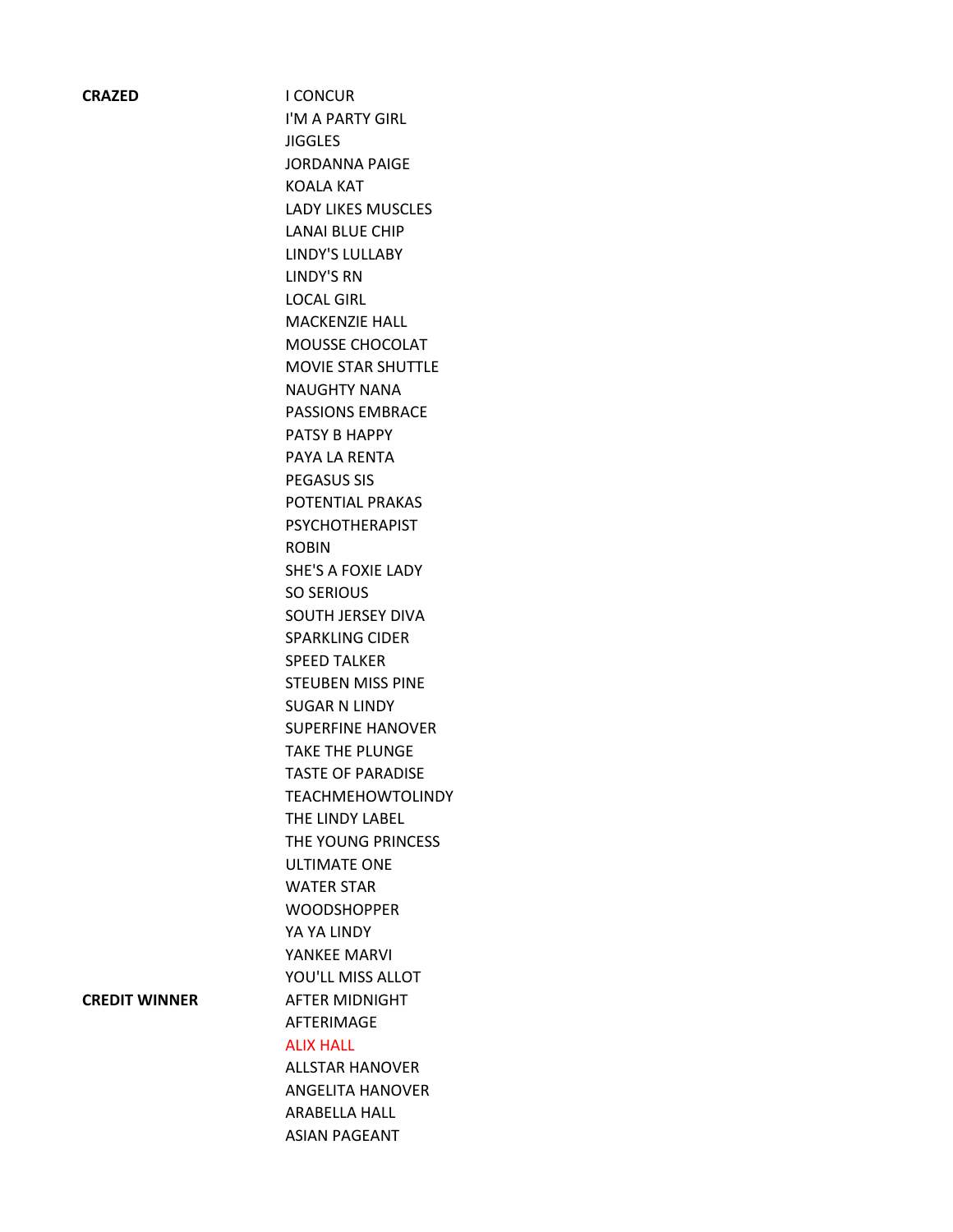**CRAZED** I CONCUR I'M A PARTY GIRL **JIGGLES** JORDANNA PAIGE KOALA KAT LADY LIKES MUSCLES LANAI BLUE CHIP LINDY'S LULLABY LINDY'S RN LOCAL GIRL MACKENZIE HALL MOUSSE CHOCOLAT MOVIE STAR SHUTTLE NAUGHTY NANA PASSIONS EMBRACE PATSY B HAPPY PAYA LA RENTA PEGASUS SIS POTENTIAL PRAKAS PSYCHOTHERAPIST ROBIN SHE'S A FOXIE LADY SO SERIOUS SOUTH JERSEY DIVA SPARKLING CIDER SPEED TALKER STEUBEN MISS PINE SUGAR N LINDY SUPERFINE HANOVER TAKE THE PLUNGE TASTE OF PARADISE TEACHMEHOWTOLINDY THE LINDY LABEL THE YOUNG PRINCESS ULTIMATE ONE WATER STAR **WOODSHOPPER** YA YA LINDY YANKEE MARVI YOU'LL MISS ALLOT **CREDIT WINNER** AFTER MIDNIGHT AFTERIMAGE ALIX HALL ALLSTAR HANOVER ANGELITA HANOVER ARABELLA HALL ASIAN PAGEANT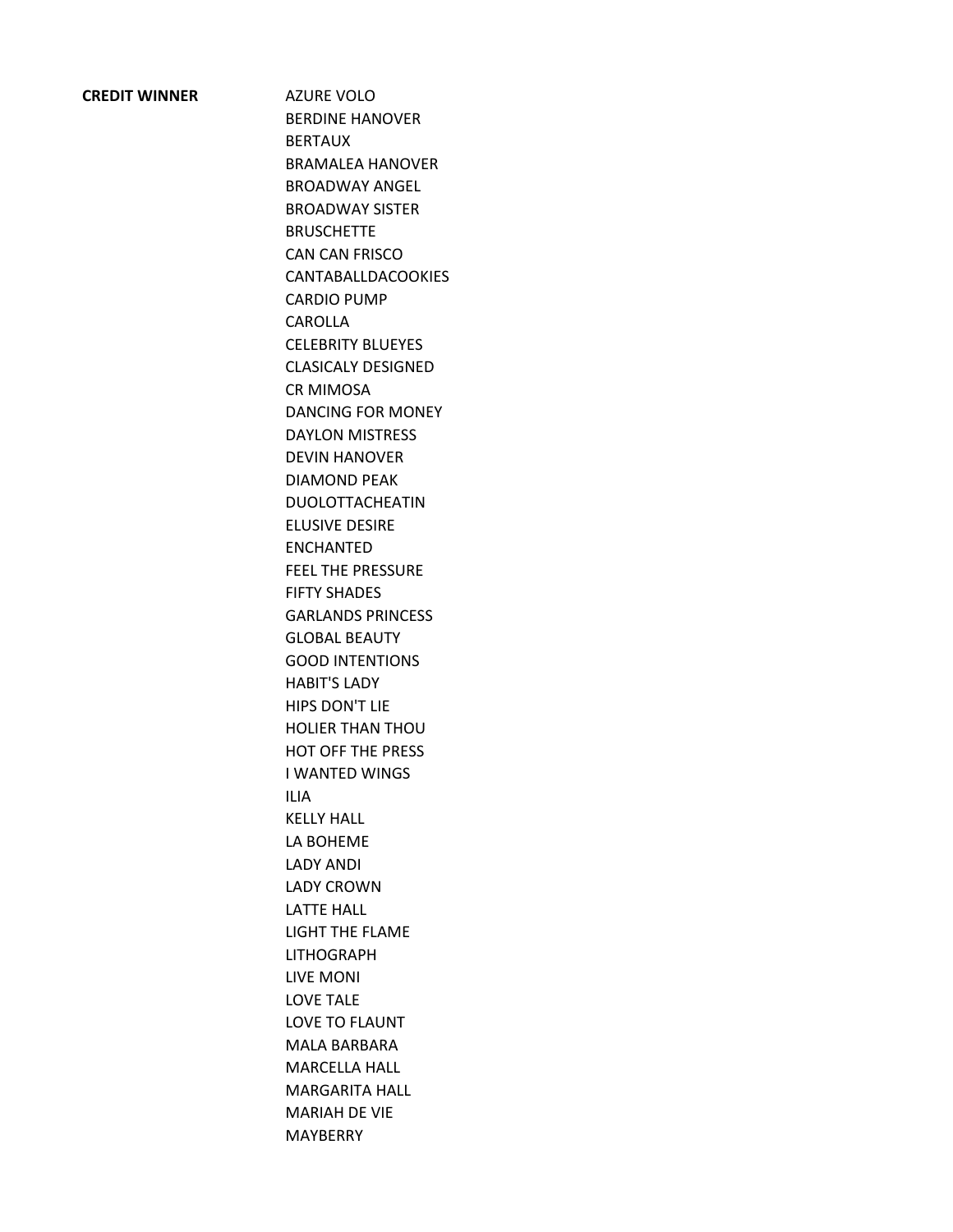**CREDIT WINNER** AZURE VOLO BERDINE HANOVER BERTAUX BRAMALEA HANOVER BROADWAY ANGEL BROADWAY SISTER **BRUSCHETTE** CAN CAN FRISCO CANTABALLDACOOKIES CARDIO PUMP CAROLLA CELEBRITY BLUEYES CLASICALY DESIGNED CR MIMOSA DANCING FOR MONEY DAYLON MISTRESS DEVIN HANOVER DIAMOND PEAK DUOLOTTACHEATIN ELUSIVE DESIRE ENCHANTED FEEL THE PRESSURE FIFTY SHADES GARLANDS PRINCESS GLOBAL BEAUTY GOOD INTENTIONS HABIT'S LADY HIPS DON'T LIE HOLIER THAN THOU HOT OFF THE PRESS I WANTED WINGS ILIA KELLY HALL LA BOHEME LADY ANDI LADY CROWN LATTE HALL LIGHT THE FLAME LITHOGRAPH LIVE MONI LOVE TALE LOVE TO FLAUNT MALA BARBARA MARCELLA HALL MARGARITA HALL MARIAH DE VIE MAYBERRY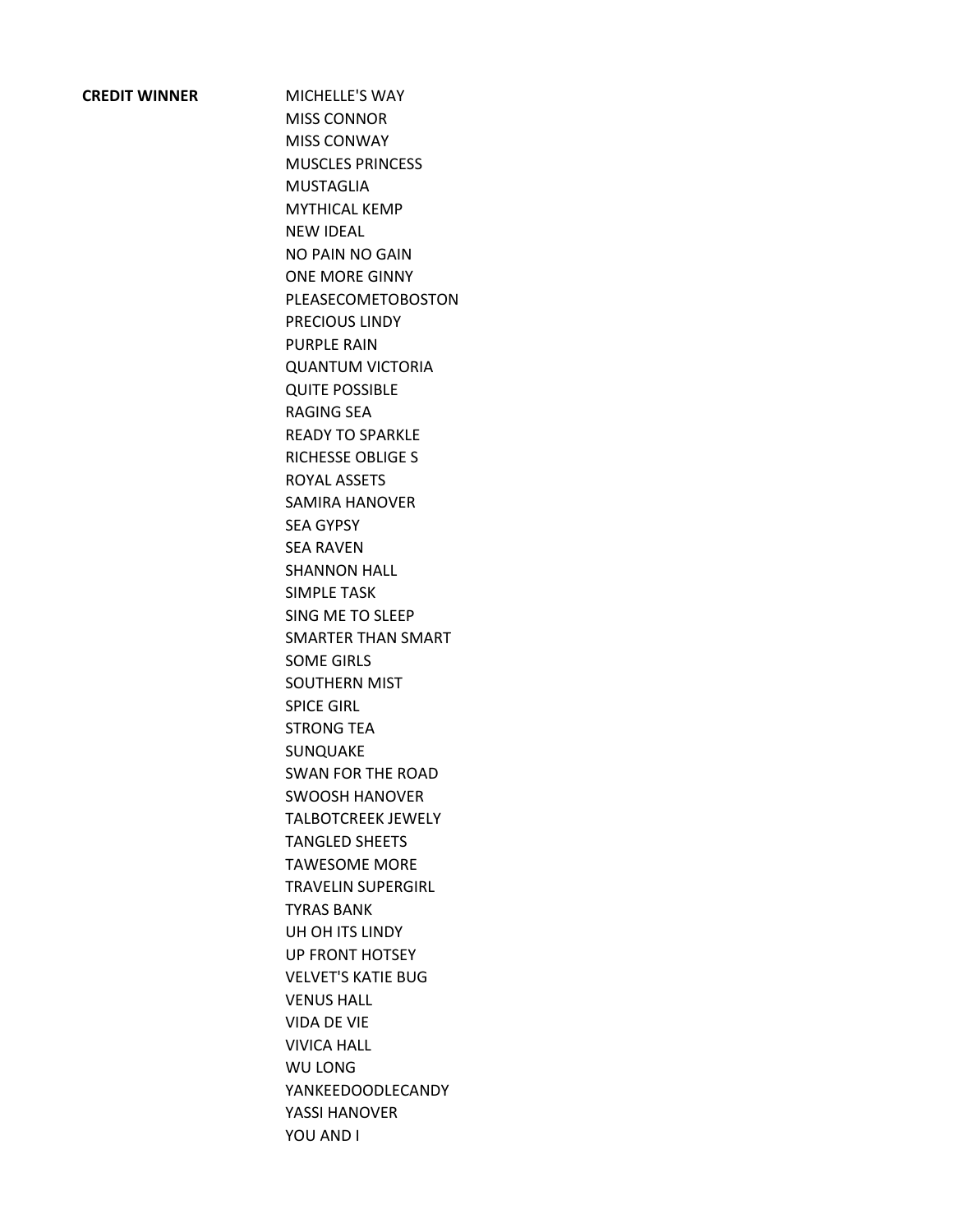| <b>CREDIT WINNER</b> |  |  |  |  |  |
|----------------------|--|--|--|--|--|
|----------------------|--|--|--|--|--|

**MICHELLE'S WAY** MISS CONNOR MISS CONWAY MUSCLES PRINCESS MUSTAGLIA MYTHICAL KEMP NEW IDEAL NO PAIN NO GAIN ONE MORE GINNY PLEASECOMETOBOSTON PRECIOUS LINDY PURPLE RAIN QUANTUM VICTORIA QUITE POSSIBLE RAGING SEA READY TO SPARKLE RICHESSE OBLIGE S ROYAL ASSETS SAMIRA HANOVER SEA GYPSY SEA RAVEN SHANNON HALL SIMPLE TASK SING ME TO SLEEP SMARTER THAN SMART SOME GIRLS SOUTHERN MIST SPICE GIRL STRONG TEA SUNQUAKE SWAN FOR THE ROAD SWOOSH HANOVER TALBOTCREEK JEWELY TANGLED SHEETS TAWESOME MORE TRAVELIN SUPERGIRL TYRAS BANK UH OH ITS LINDY UP FRONT HOTSEY VELVET'S KATIE BUG VENUS HALL VIDA DE VIE VIVICA HALL WU LONG YANKEEDOODLECANDY YASSI HANOVER YOU AND I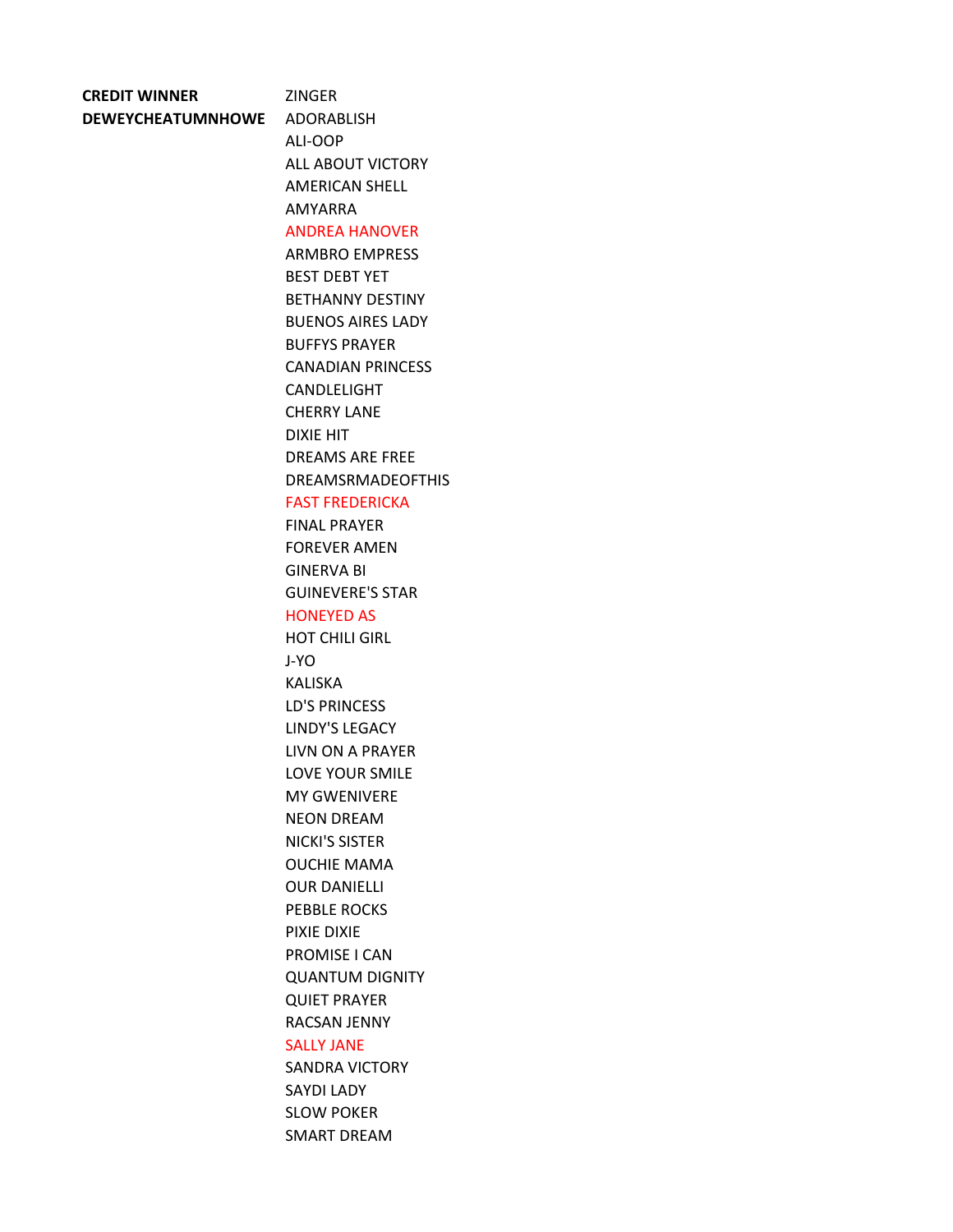# **CREDIT WINNER** ZINGER **DEWEYCHEATUMNHOWE** ADORABLISH

ALI-OOP ALL ABOUT VICTORY AMERICAN SHELL AMYARRA ANDREA HANOVER ARMBRO EMPRESS BEST DEBT YET BETHANNY DESTINY BUENOS AIRES LADY BUFFYS PRAYER CANADIAN PRINCESS CANDLELIGHT CHERRY LANE DIXIE HIT DREAMS ARE FREE DREAMSRMADEOFTHIS FAST FREDERICKA FINAL PRAYER FOREVER AMEN GINERVA BI GUINEVERE'S STAR HONEYED AS HOT CHILI GIRL J-YO KALISKA LD'S PRINCESS LINDY'S LEGACY LIVN ON A PRAYER LOVE YOUR SMILE MY GWENIVERE NEON DREAM NICKI'S SISTER OUCHIE MAMA OUR DANIELLI PEBBLE ROCKS PIXIE DIXIE PROMISE I CAN QUANTUM DIGNITY QUIET PRAYER RACSAN JENNY SALLY JANE

SANDRA VICTORY SAYDI LADY SLOW POKER SMART DREAM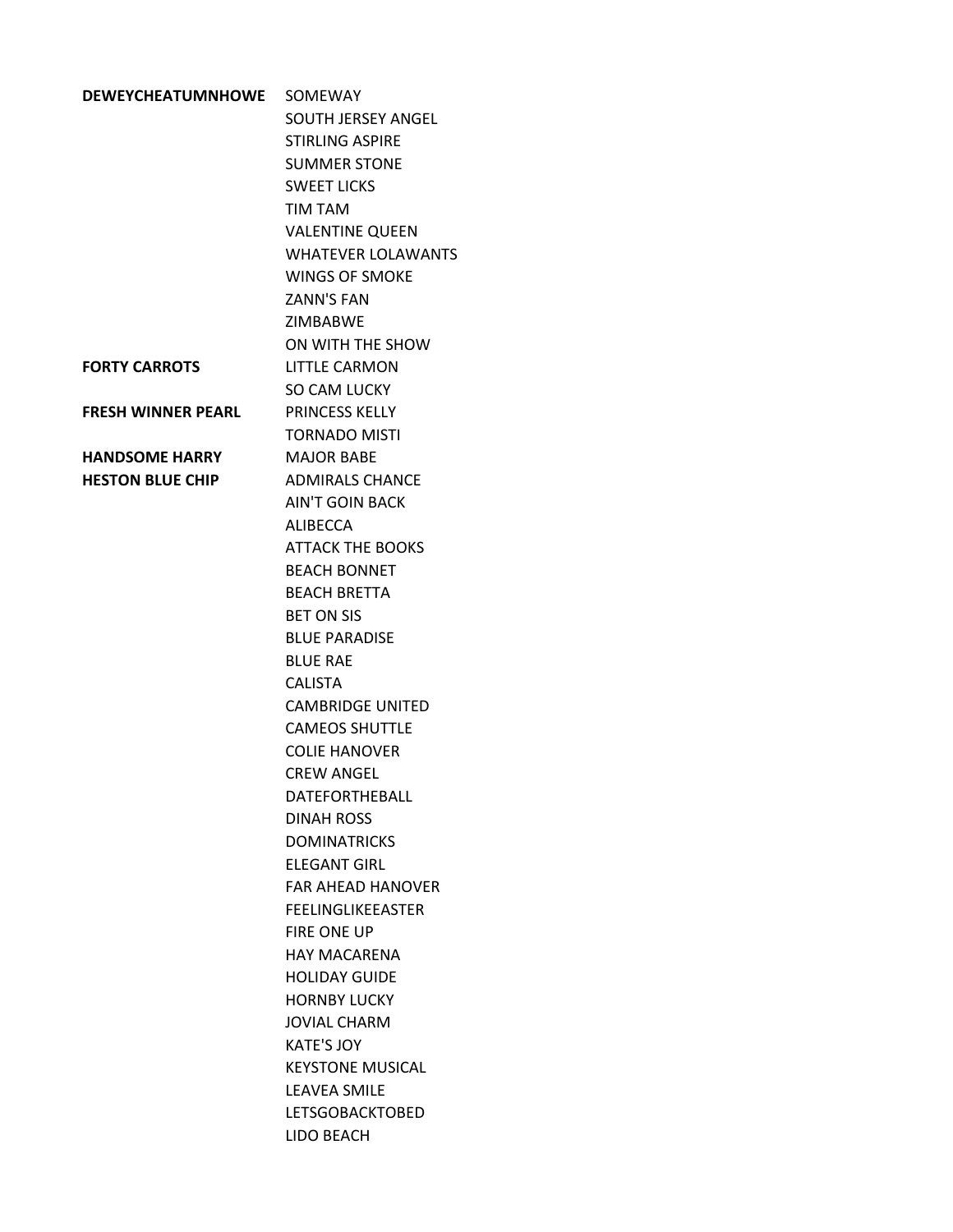| <b>DEWEYCHEATUMNHOWE</b>  | SOMEWAY                   |
|---------------------------|---------------------------|
|                           | <b>SOUTH JERSEY ANGEL</b> |
|                           | <b>STIRLING ASPIRE</b>    |
|                           | <b>SUMMER STONE</b>       |
|                           | <b>SWEET LICKS</b>        |
|                           | <b>TIM TAM</b>            |
|                           | <b>VALENTINE QUEEN</b>    |
|                           | <b>WHATEVER LOLAWANTS</b> |
|                           | <b>WINGS OF SMOKE</b>     |
|                           | <b>ZANN'S FAN</b>         |
|                           | <b>ZIMBABWE</b>           |
|                           | ON WITH THE SHOW          |
| <b>FORTY CARROTS</b>      | <b>LITTLE CARMON</b>      |
|                           | SO CAM LUCKY              |
| <b>FRESH WINNER PEARL</b> | <b>PRINCESS KELLY</b>     |
|                           | <b>TORNADO MISTI</b>      |
| <b>HANDSOME HARRY</b>     | <b>MAJOR BABE</b>         |
| <b>HESTON BLUE CHIP</b>   | <b>ADMIRALS CHANCE</b>    |
|                           | <b>AIN'T GOIN BACK</b>    |
|                           | <b>ALIBECCA</b>           |
|                           | <b>ATTACK THE BOOKS</b>   |
|                           | <b>BEACH BONNET</b>       |
|                           | <b>BEACH BRETTA</b>       |
|                           | <b>BET ON SIS</b>         |
|                           | <b>BLUE PARADISE</b>      |
|                           | <b>BLUE RAE</b>           |
|                           | <b>CALISTA</b>            |
|                           | <b>CAMBRIDGE UNITED</b>   |
|                           | <b>CAMEOS SHUTTLE</b>     |
|                           | <b>COLIE HANOVER</b>      |
|                           | <b>CREW ANGEL</b>         |
|                           | <b>DATEFORTHEBALL</b>     |
|                           | <b>DINAH ROSS</b>         |
|                           | <b>DOMINATRICKS</b>       |
|                           | <b>FLFGANT GIRL</b>       |
|                           | <b>FAR AHEAD HANOVER</b>  |
|                           | <b>FEELINGLIKEEASTER</b>  |
|                           | FIRE ONE UP               |
|                           | <b>HAY MACARENA</b>       |
|                           | <b>HOLIDAY GUIDE</b>      |
|                           | <b>HORNBY LUCKY</b>       |
|                           | <b>JOVIAL CHARM</b>       |
|                           | <b>KATE'S JOY</b>         |
|                           | <b>KEYSTONE MUSICAL</b>   |
|                           | <b>LEAVEA SMILE</b>       |
|                           | <b>LETSGOBACKTOBED</b>    |
|                           | LIDO BEACH                |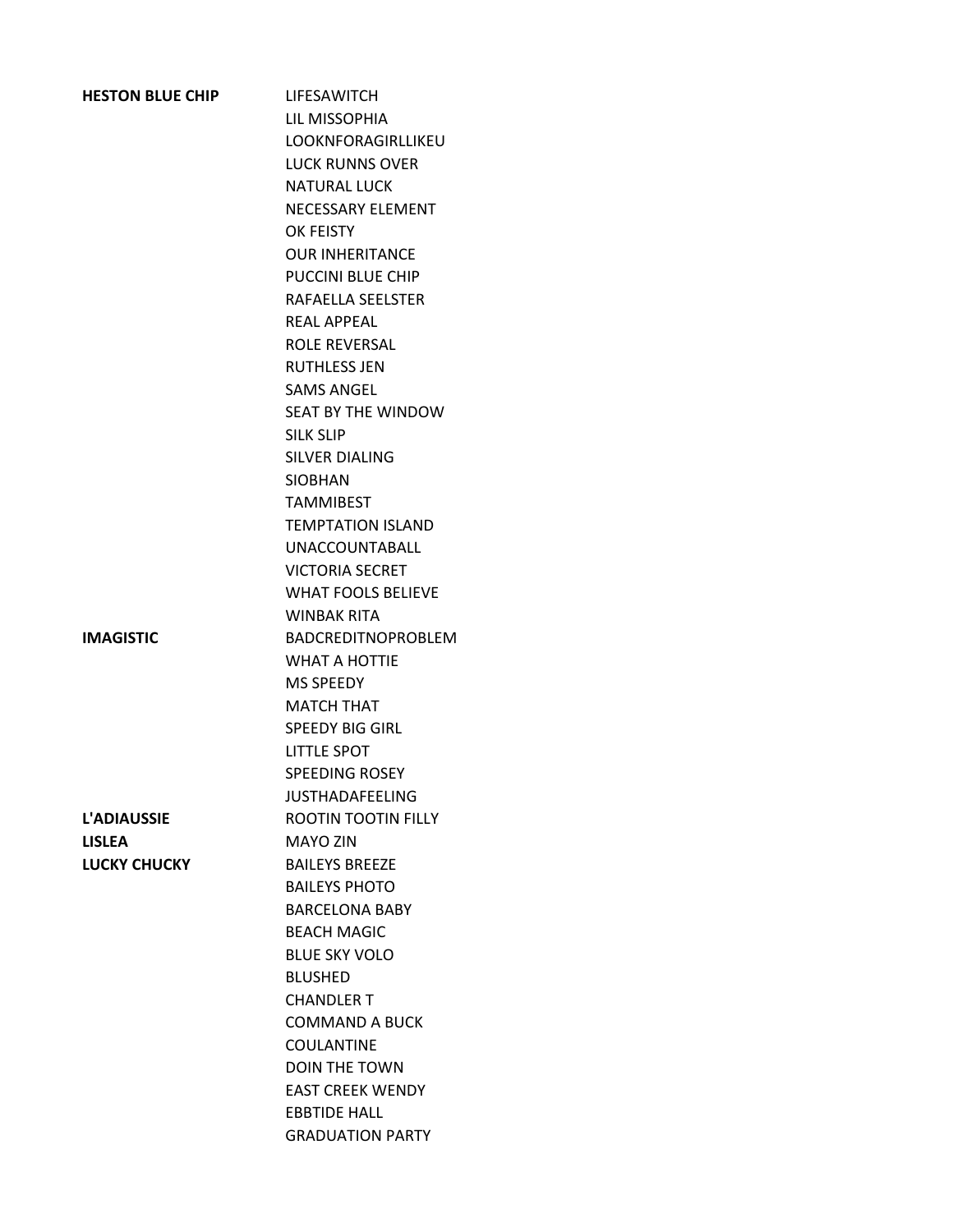| <b>HESTON BLUE CHIP</b> | LIFESAWITCH                |
|-------------------------|----------------------------|
|                         | LIL MISSOPHIA              |
|                         | LOOKNFORAGIRLLIKEU         |
|                         | <b>LUCK RUNNS OVER</b>     |
|                         | <b>NATURAL LUCK</b>        |
|                         | NECESSARY ELEMENT          |
|                         | OK FEISTY                  |
|                         | <b>OUR INHERITANCE</b>     |
|                         | PUCCINI BLUE CHIP          |
|                         | RAFAELLA SEELSTER          |
|                         | <b>REAL APPEAL</b>         |
|                         | ROLE REVERSAL              |
|                         | <b>RUTHLESS JEN</b>        |
|                         | <b>SAMS ANGEL</b>          |
|                         | <b>SEAT BY THE WINDOW</b>  |
|                         | <b>SILK SLIP</b>           |
|                         | <b>SILVER DIALING</b>      |
|                         | <b>SIOBHAN</b>             |
|                         | <b>TAMMIREST</b>           |
|                         | <b>TEMPTATION ISLAND</b>   |
|                         | <b>UNACCOUNTABALL</b>      |
|                         | <b>VICTORIA SECRET</b>     |
|                         | <b>WHAT FOOLS BELIEVE</b>  |
|                         | <b>WINBAK RITA</b>         |
| <b>IMAGISTIC</b>        | <b>BADCREDITNOPROBLEM</b>  |
|                         | <b>WHAT A HOTTIE</b>       |
|                         | <b>MS SPEEDY</b>           |
|                         | <b>MATCH THAT</b>          |
|                         | <b>SPEEDY BIG GIRL</b>     |
|                         | <b>LITTLE SPOT</b>         |
|                         | <b>SPEEDING ROSEY</b>      |
|                         | <b>JUSTHADAFEELING</b>     |
| <b>L'ADIAUSSIE</b>      | <b>ROOTIN TOOTIN FILLY</b> |
| <b>LISLEA</b>           | MAYO ZIN                   |
| LUCKY CHUCKY            | <b>BAILEYS BREEZE</b>      |
|                         | <b>BAILEYS PHOTO</b>       |
|                         | <b>BARCELONA BABY</b>      |
|                         | <b>BEACH MAGIC</b>         |
|                         | <b>BLUE SKY VOLO</b>       |
|                         | <b>BLUSHED</b>             |
|                         | <b>CHANDLER T</b>          |
|                         | <b>COMMAND A BUCK</b>      |
|                         | <b>COULANTINE</b>          |
|                         | <b>DOIN THE TOWN</b>       |
|                         | <b>EAST CREEK WENDY</b>    |
|                         | <b>EBBTIDE HALL</b>        |
|                         | <b>GRADUATION PARTY</b>    |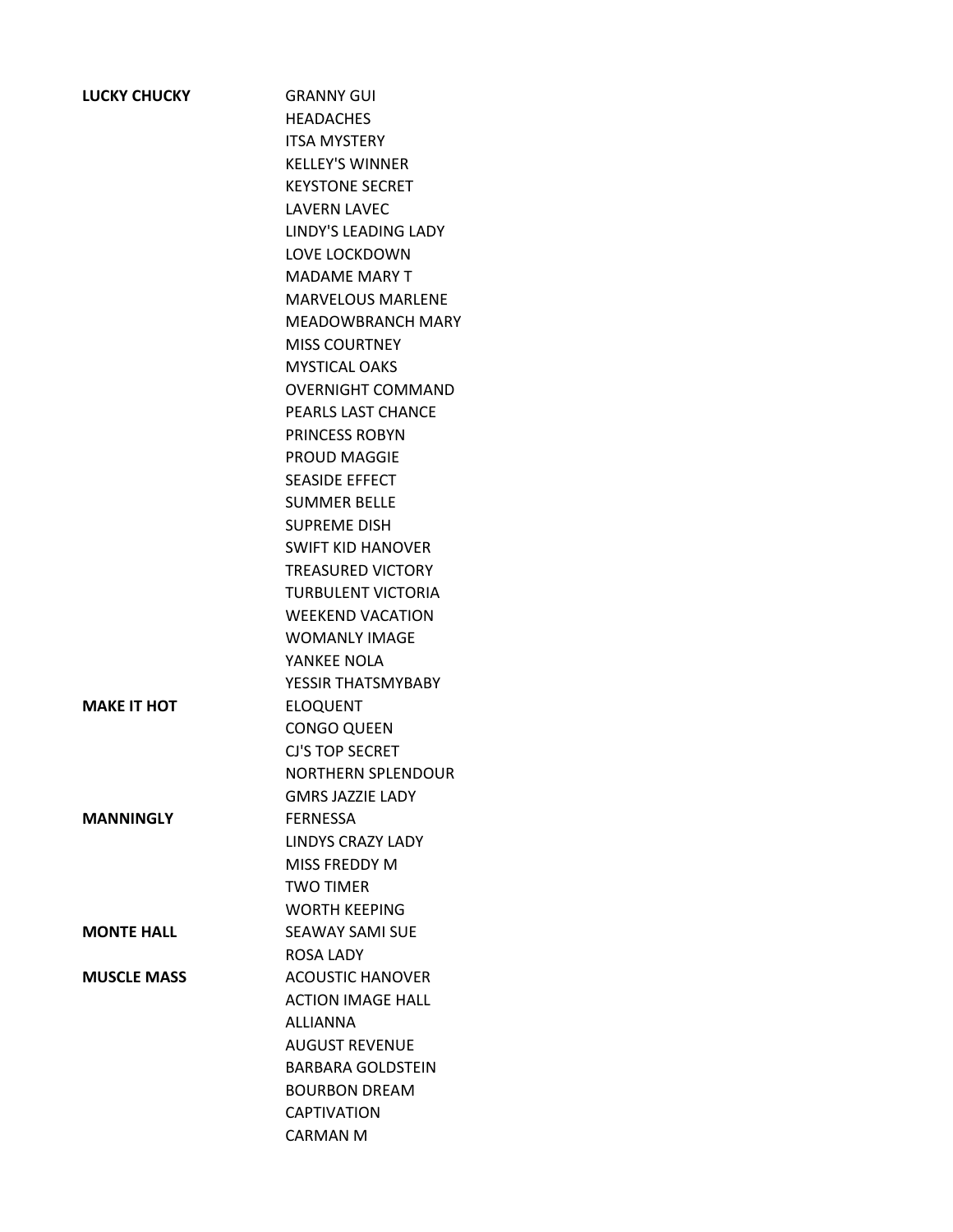| LUCKY CHUCKY       | <b>GRANNY GUI</b>           |
|--------------------|-----------------------------|
|                    | <b>HEADACHES</b>            |
|                    | <b>ITSA MYSTERY</b>         |
|                    | <b>KELLEY'S WINNER</b>      |
|                    | <b>KEYSTONE SECRET</b>      |
|                    | <b>LAVERN LAVEC</b>         |
|                    | <b>LINDY'S LEADING LADY</b> |
|                    | <b>LOVE LOCKDOWN</b>        |
|                    | <b>MADAME MARY T</b>        |
|                    | <b>MARVELOUS MARLENE</b>    |
|                    | MEADOWBRANCH MARY           |
|                    | <b>MISS COURTNEY</b>        |
|                    | <b>MYSTICAL OAKS</b>        |
|                    | <b>OVERNIGHT COMMAND</b>    |
|                    | PEARLS LAST CHANCE          |
|                    | PRINCESS ROBYN              |
|                    | <b>PROUD MAGGIE</b>         |
|                    | <b>SEASIDE EFFECT</b>       |
|                    | <b>SUMMER BELLE</b>         |
|                    | <b>SUPREME DISH</b>         |
|                    | <b>SWIFT KID HANOVER</b>    |
|                    | <b>TREASURED VICTORY</b>    |
|                    | <b>TURBULENT VICTORIA</b>   |
|                    | <b>WEEKEND VACATION</b>     |
|                    | <b>WOMANLY IMAGE</b>        |
|                    | YANKEE NOLA                 |
|                    |                             |
|                    | YESSIR THATSMYBABY          |
| <b>MAKE IT HOT</b> | <b>ELOQUENT</b>             |
|                    | <b>CONGO QUEEN</b>          |
|                    | CJ'S TOP SECRET             |
|                    | <b>NORTHERN SPLENDOUR</b>   |
|                    | <b>GMRS JAZZIE LADY</b>     |
| <b>MANNINGLY</b>   | <b>FERNESSA</b>             |
|                    | <b>LINDYS CRAZY LADY</b>    |
|                    | MISS FREDDY M               |
|                    | <b>TWO TIMER</b>            |
|                    | <b>WORTH KEEPING</b>        |
| <b>MONTE HALL</b>  | <b>SEAWAY SAMI SUE</b>      |
|                    | <b>ROSA LADY</b>            |
| <b>MUSCLE MASS</b> | <b>ACOUSTIC HANOVER</b>     |
|                    | <b>ACTION IMAGE HALL</b>    |
|                    | <b>ALLIANNA</b>             |
|                    | <b>AUGUST REVENUE</b>       |
|                    | <b>BARBARA GOLDSTEIN</b>    |
|                    | <b>BOURBON DREAM</b>        |
|                    | <b>CAPTIVATION</b>          |
|                    | <b>CARMAN M</b>             |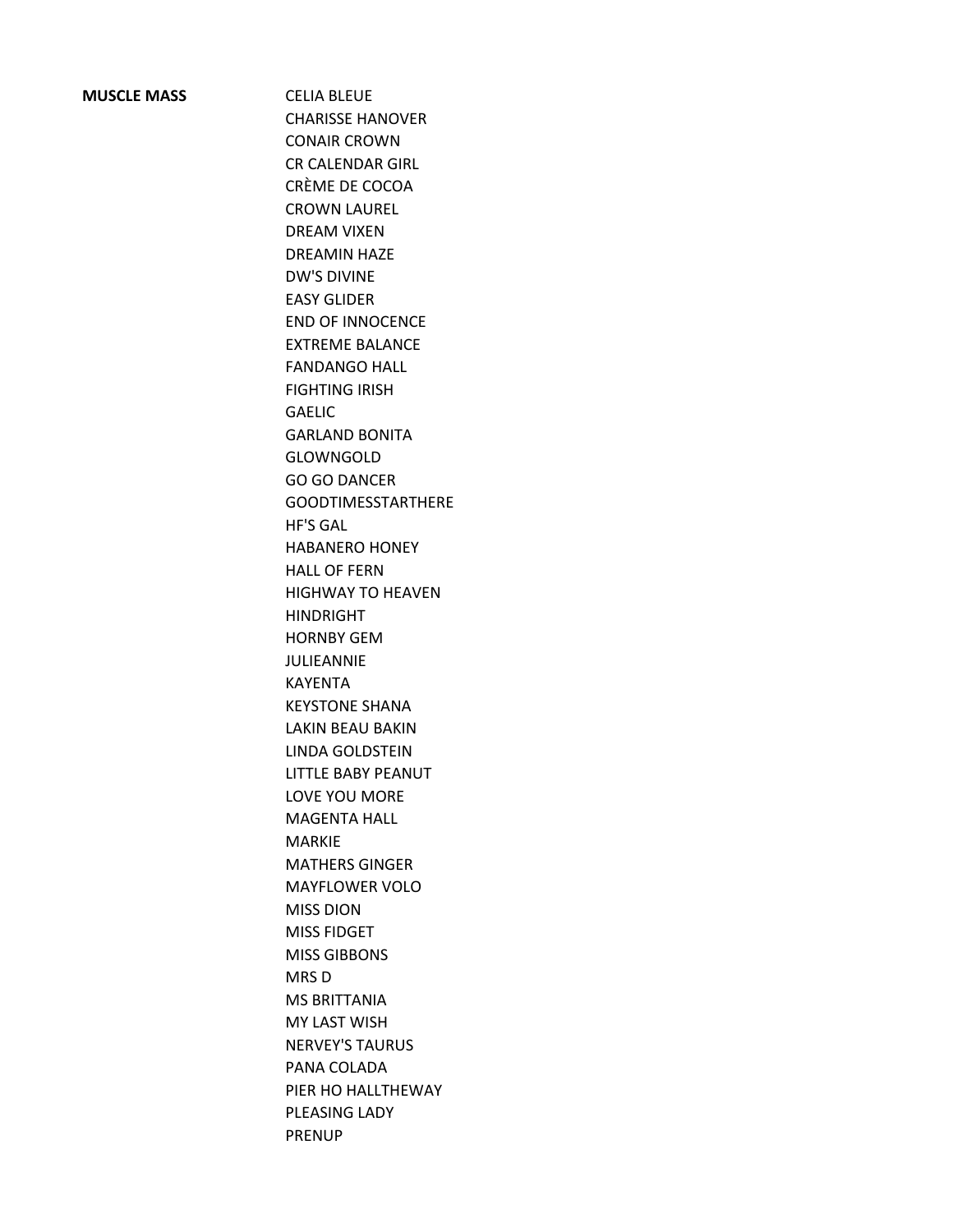## **MUSCLE MASS** CELIA BLEUE

CHARISSE HANOVER CONAIR CROWN CR CALENDAR GIRL CRÈME DE COCOA CROWN LAUREL DREAM VIXEN DREAMIN HAZE DW'S DIVINE EASY GLIDER END OF INNOCENCE EXTREME BALANCE FANDANGO HALL FIGHTING IRISH GAELIC GARLAND BONITA GLOWNGOLD GO GO DANCER GOODTIMESSTARTHERE HF'S GAL HABANERO HONEY HALL OF FERN HIGHWAY TO HEAVEN HINDRIGHT HORNBY GEM JULIEANNIE KAYENTA KEYSTONE SHANA LAKIN BEAU BAKIN LINDA GOLDSTEIN LITTLE BABY PEANUT LOVE YOU MORE MAGENTA HALL MARKIE MATHERS GINGER MAYFLOWER VOLO MISS DION MISS FIDGET MISS GIBBONS MRS D MS BRITTANIA MY LAST WISH NERVEY'S TAURUS PANA COLADA PIER HO HALLTHEWAY PLEASING LADY PRENUP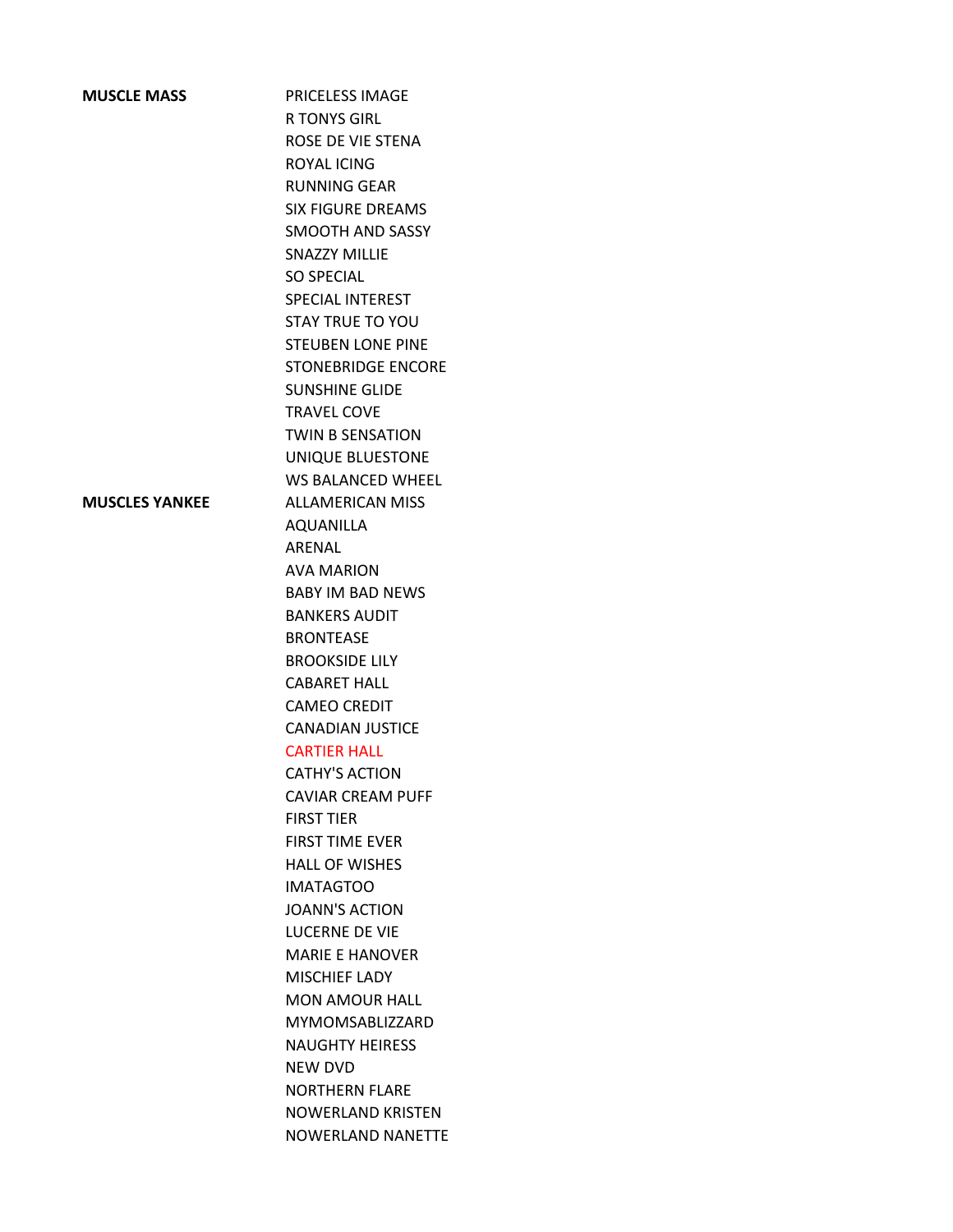| <b>MUSCLE MASS</b>    | PRICELESS IMAGE           |
|-----------------------|---------------------------|
|                       | <b>R TONYS GIRL</b>       |
|                       | ROSE DE VIE STENA         |
|                       | ROYAL ICING               |
|                       | <b>RUNNING GEAR</b>       |
|                       | <b>SIX FIGURE DREAMS</b>  |
|                       | SMOOTH AND SASSY          |
|                       | <b>SNAZZY MILLIE</b>      |
|                       | <b>SO SPECIAL</b>         |
|                       | <b>SPECIAL INTEREST</b>   |
|                       | <b>STAY TRUE TO YOU</b>   |
|                       | <b>STEUBEN LONE PINE</b>  |
|                       | <b>STONEBRIDGE ENCORE</b> |
|                       | <b>SUNSHINE GLIDE</b>     |
|                       | <b>TRAVEL COVE</b>        |
|                       | <b>TWIN B SENSATION</b>   |
|                       | UNIQUE BLUESTONE          |
|                       | <b>WS BALANCED WHEEL</b>  |
| <b>MUSCLES YANKEE</b> | <b>ALLAMERICAN MISS</b>   |
|                       | <b>AQUANILLA</b>          |
|                       | ARENAL                    |
|                       | <b>AVA MARION</b>         |
|                       | <b>BABY IM BAD NEWS</b>   |
|                       | <b>BANKERS AUDIT</b>      |
|                       | <b>BRONTEASE</b>          |
|                       | <b>BROOKSIDE LILY</b>     |
|                       | <b>CABARET HALL</b>       |
|                       | <b>CAMEO CREDIT</b>       |
|                       | <b>CANADIAN JUSTICE</b>   |
|                       | <b>CARTIER HALL</b>       |
|                       | <b>CATHY'S ACTION</b>     |
|                       | <b>CAVIAR CREAM PUFF</b>  |
|                       | <b>FIRST TIER</b>         |
|                       | <b>FIRST TIME FVER</b>    |
|                       | <b>HALL OF WISHES</b>     |
|                       | <b>IMATAGTOO</b>          |
|                       | <b>JOANN'S ACTION</b>     |
|                       | <b>LUCERNE DE VIE</b>     |
|                       | <b>MARIE E HANOVER</b>    |
|                       | <b>MISCHIEF LADY</b>      |
|                       | <b>MON AMOUR HALL</b>     |
|                       | <b>MYMOMSABLIZZARD</b>    |
|                       | <b>NAUGHTY HEIRESS</b>    |
|                       | <b>NEW DVD</b>            |
|                       | <b>NORTHERN FLARE</b>     |
|                       | <b>NOWERLAND KRISTEN</b>  |
|                       | <b>NOWERLAND NANETTE</b>  |
|                       |                           |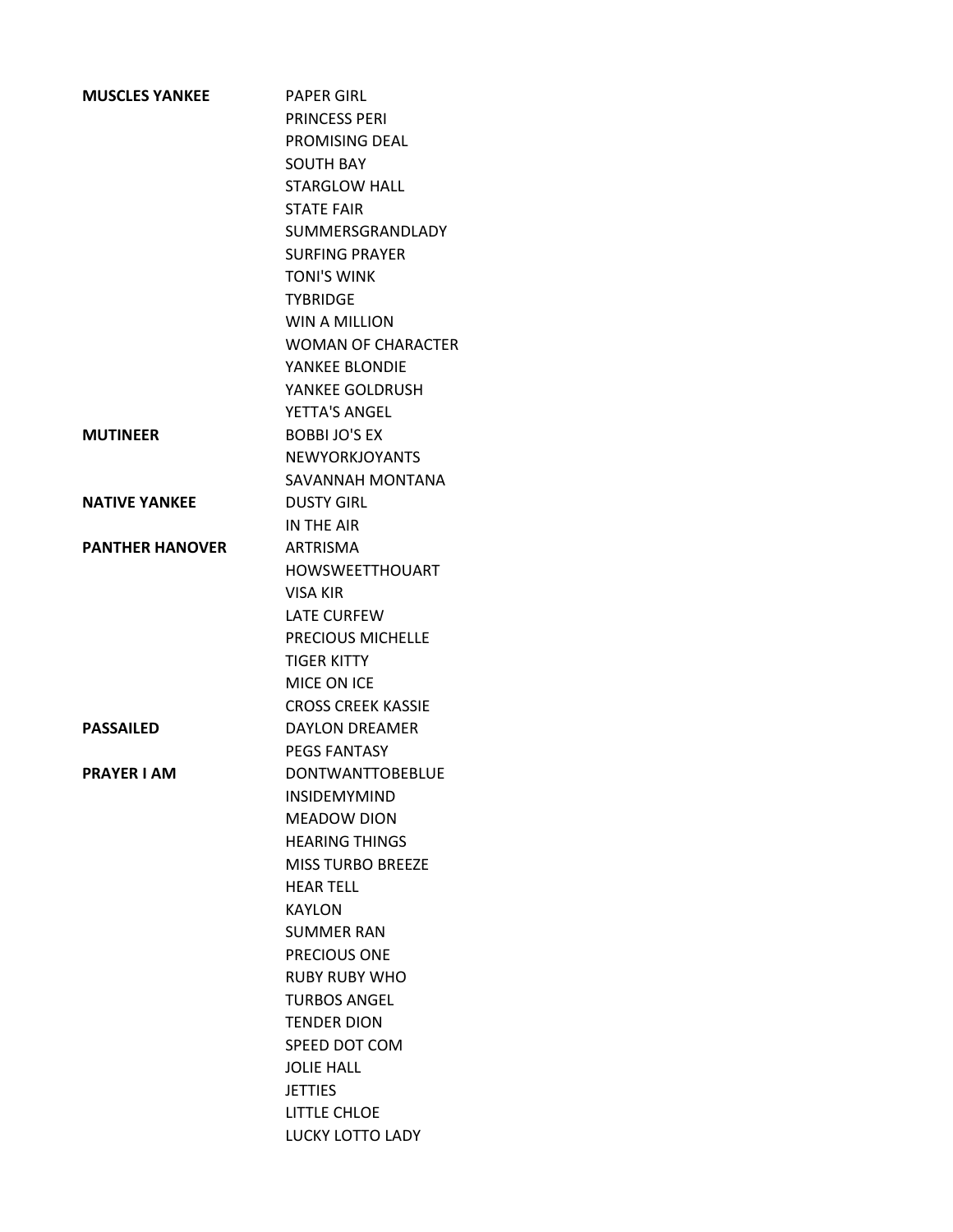| <b>MUSCLES YANKEE</b>  | <b>PAPFR GIRL</b>         |
|------------------------|---------------------------|
|                        | <b>PRINCESS PERI</b>      |
|                        | PROMISING DFAL            |
|                        | SOUTH BAY                 |
|                        | <b>STARGLOW HALL</b>      |
|                        | <b>STATF FAIR</b>         |
|                        | SUMMERSGRANDLADY          |
|                        | <b>SURFING PRAYER</b>     |
|                        | <b>TONI'S WINK</b>        |
|                        | <b>TYBRIDGE</b>           |
|                        | <b>WIN A MILLION</b>      |
|                        | <b>WOMAN OF CHARACTER</b> |
|                        | YANKEE BLONDIE            |
|                        | YANKEE GOLDRUSH           |
|                        | YETTA'S ANGEL             |
| <b>MUTINEER</b>        | <b>BOBBIJO'S EX</b>       |
|                        | <b>NEWYORKJOYANTS</b>     |
|                        | SAVANNAH MONTANA          |
| <b>NATIVE YANKEE</b>   | <b>DUSTY GIRL</b>         |
|                        | IN THE AIR                |
| <b>PANTHER HANOVER</b> | <b>ARTRISMA</b>           |
|                        | <b>HOWSWEETTHOUART</b>    |
|                        | <b>VISA KIR</b>           |
|                        | <b>LATE CURFEW</b>        |
|                        | PRECIOUS MICHELLE         |
|                        | <b>TIGER KITTY</b>        |
|                        | MICE ON ICE               |
|                        | <b>CROSS CREEK KASSIE</b> |
| <b>PASSAILED</b>       | <b>DAYLON DREAMER</b>     |
|                        | <b>PEGS FANTASY</b>       |
| <b>PRAYER I AM</b>     | <b>DONTWANTTOBFBLUF</b>   |
|                        | <b>INSIDEMYMIND</b>       |
|                        | <b>MEADOW DION</b>        |
|                        | <b>HEARING THINGS</b>     |
|                        | <b>MISS TURBO BREEZE</b>  |
|                        | <b>HEAR TELL</b>          |
|                        | <b>KAYLON</b>             |
|                        | <b>SUMMER RAN</b>         |
|                        | PRECIOUS ONE              |
|                        | <b>RUBY RUBY WHO</b>      |
|                        | <b>TURBOS ANGEL</b>       |
|                        | <b>TENDER DION</b>        |
|                        | SPEED DOT COM             |
|                        | <b>JOLIE HALL</b>         |
|                        | <b>JETTIES</b>            |
|                        | <b>LITTLE CHLOE</b>       |
|                        | <b>LUCKY LOTTO LADY</b>   |
|                        |                           |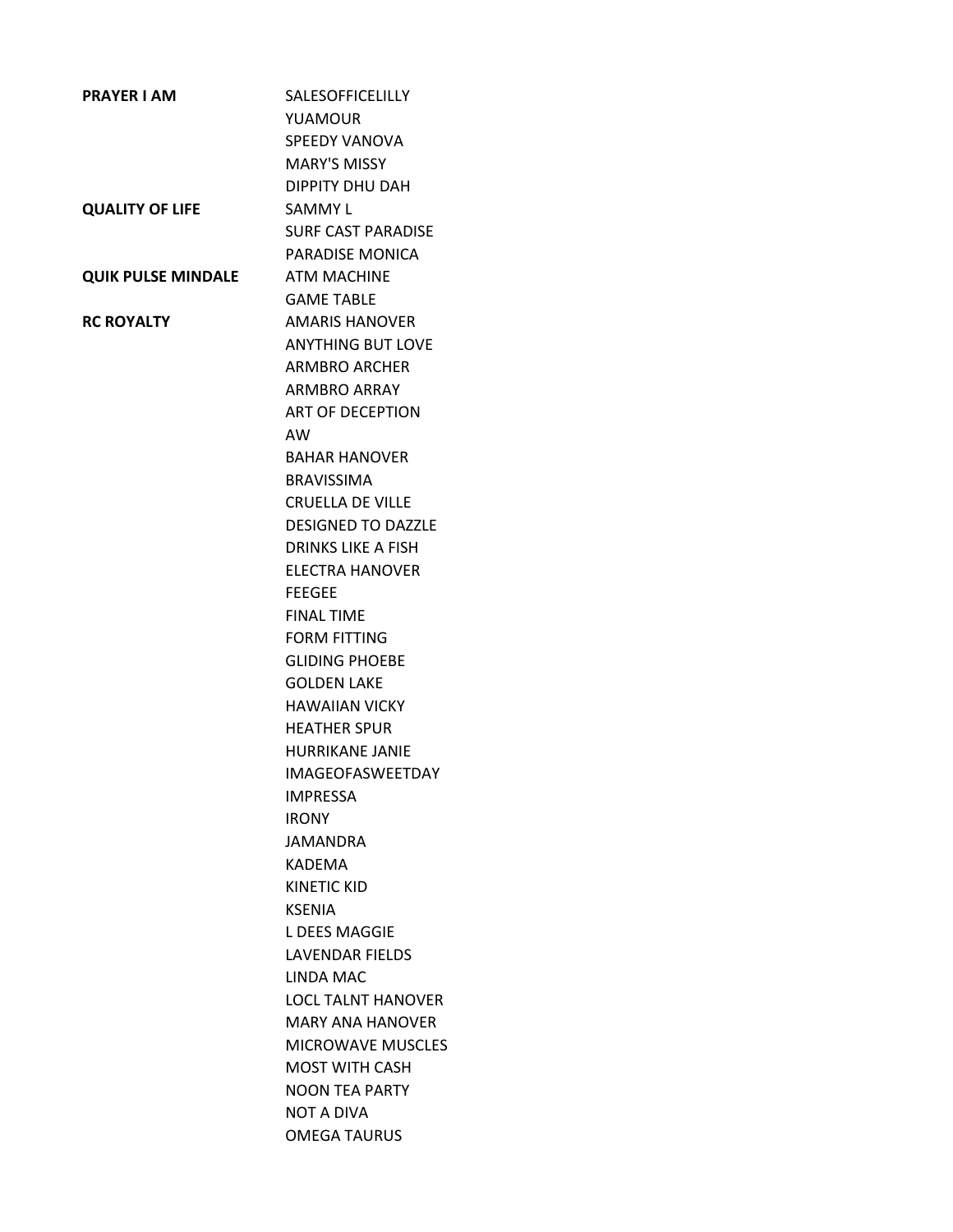| <b>PRAYER I AM</b>        | <b>SALESOFFICELILLY</b>   |
|---------------------------|---------------------------|
|                           | YUAMOUR                   |
|                           | <b>SPEEDY VANOVA</b>      |
|                           | <b>MARY'S MISSY</b>       |
|                           | DIPPITY DHU DAH           |
| <b>QUALITY OF LIFE</b>    | <b>SAMMY L</b>            |
|                           | <b>SURF CAST PARADISE</b> |
|                           | PARADISE MONICA           |
| <b>QUIK PULSE MINDALE</b> | <b>ATM MACHINE</b>        |
|                           | <b>GAME TABLE</b>         |
| <b>RC ROYALTY</b>         | <b>AMARIS HANOVER</b>     |
|                           | <b>ANYTHING BUT LOVE</b>  |
|                           | <b>ARMBRO ARCHER</b>      |
|                           | <b>ARMBRO ARRAY</b>       |
|                           | <b>ART OF DECEPTION</b>   |
|                           | AW.                       |
|                           | <b>BAHAR HANOVER</b>      |
|                           | <b>BRAVISSIMA</b>         |
|                           | <b>CRUFLLA DF VILLF</b>   |
|                           | <b>DESIGNED TO DAZZLE</b> |
|                           | <b>DRINKS LIKE A FISH</b> |
|                           | <b>ELECTRA HANOVER</b>    |
|                           | <b>FEEGEE</b>             |
|                           | <b>FINAL TIME</b>         |
|                           | <b>FORM FITTING</b>       |
|                           | <b>GLIDING PHOEBE</b>     |
|                           | <b>GOLDEN LAKE</b>        |
|                           | <b>HAWAIIAN VICKY</b>     |
|                           | <b>HEATHER SPUR</b>       |
|                           | HURRIKANE JANIE           |
|                           | <b>IMAGEOFASWEETDAY</b>   |
|                           | <b>IMPRESSA</b>           |
|                           | <b>IRONY</b>              |
|                           | JAMANDRA                  |
|                           | <b>KADFMA</b>             |
|                           | <b>KINETIC KID</b>        |
|                           | <b>KSENIA</b>             |
|                           | <b>L DFFS MAGGIF</b>      |
|                           | <b>LAVENDAR FIELDS</b>    |
|                           | LINDA MAC                 |
|                           | <b>LOCL TALNT HANOVER</b> |
|                           | <b>MARY ANA HANOVER</b>   |
|                           | <b>MICROWAVE MUSCLES</b>  |
|                           | <b>MOST WITH CASH</b>     |
|                           | <b>NOON TEA PARTY</b>     |
|                           | <b>NOT A DIVA</b>         |
|                           | <b>OMEGA TAURUS</b>       |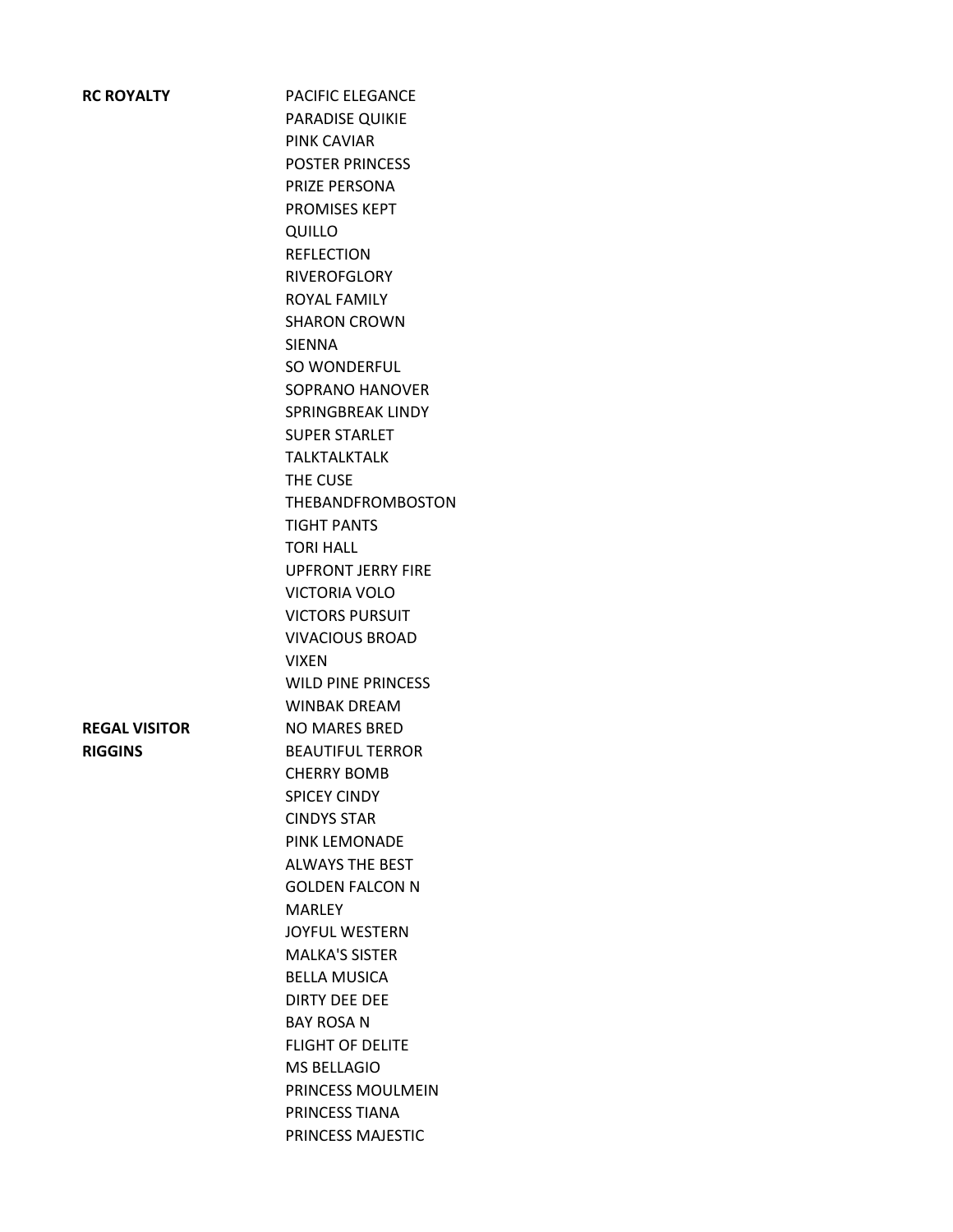| <b>RC ROYALTY</b>    | <b>PACIFIC ELEGANCE</b>   |
|----------------------|---------------------------|
|                      | PARADISE QUIKIE           |
|                      | <b>PINK CAVIAR</b>        |
|                      | <b>POSTER PRINCESS</b>    |
|                      | PRIZE PERSONA             |
|                      | PROMISES KEPT             |
|                      | <b>QUILLO</b>             |
|                      | <b>REFLECTION</b>         |
|                      | <b>RIVEROFGLORY</b>       |
|                      | ROYAL FAMILY              |
|                      | <b>SHARON CROWN</b>       |
|                      | <b>SIENNA</b>             |
|                      | SO WONDERFUL              |
|                      | SOPRANO HANOVER           |
|                      | <b>SPRINGBREAK LINDY</b>  |
|                      | <b>SUPER STARLET</b>      |
|                      | <b>TALKTALKTALK</b>       |
|                      | THE CUSE                  |
|                      | <b>THEBANDFROMBOSTON</b>  |
|                      | <b>TIGHT PANTS</b>        |
|                      | <b>TORI HALL</b>          |
|                      | <b>UPFRONT JERRY FIRE</b> |
|                      | <b>VICTORIA VOLO</b>      |
|                      | <b>VICTORS PURSUIT</b>    |
|                      | <b>VIVACIOUS BROAD</b>    |
|                      | <b>VIXEN</b>              |
|                      | <b>WILD PINE PRINCESS</b> |
|                      | <b>WINBAK DREAM</b>       |
| <b>REGAL VISITOR</b> | <b>NO MARES BRED</b>      |
| <b>RIGGINS</b>       | <b>BEAUTIFUL TERROR</b>   |
|                      | <b>CHERRY BOMB</b>        |
|                      | <b>SPICEY CINDY</b>       |
|                      | <b>CINDYS STAR</b>        |
|                      | PINK LEMONADE             |
|                      | <b>ALWAYS THE BEST</b>    |
|                      | <b>GOLDEN FALCON N</b>    |
|                      | <b>MARLFY</b>             |
|                      | <b>JOYFUL WESTERN</b>     |
|                      | <b>MALKA'S SISTER</b>     |
|                      | <b>BELLA MUSICA</b>       |
|                      | <b>DIRTY DEE DEE</b>      |
|                      | <b>BAY ROSA N</b>         |
|                      | <b>FLIGHT OF DELITE</b>   |
|                      | <b>MS BELLAGIO</b>        |
|                      | PRINCESS MOULMEIN         |
|                      | PRINCESS TIANA            |
|                      |                           |

PRINCESS MAJESTIC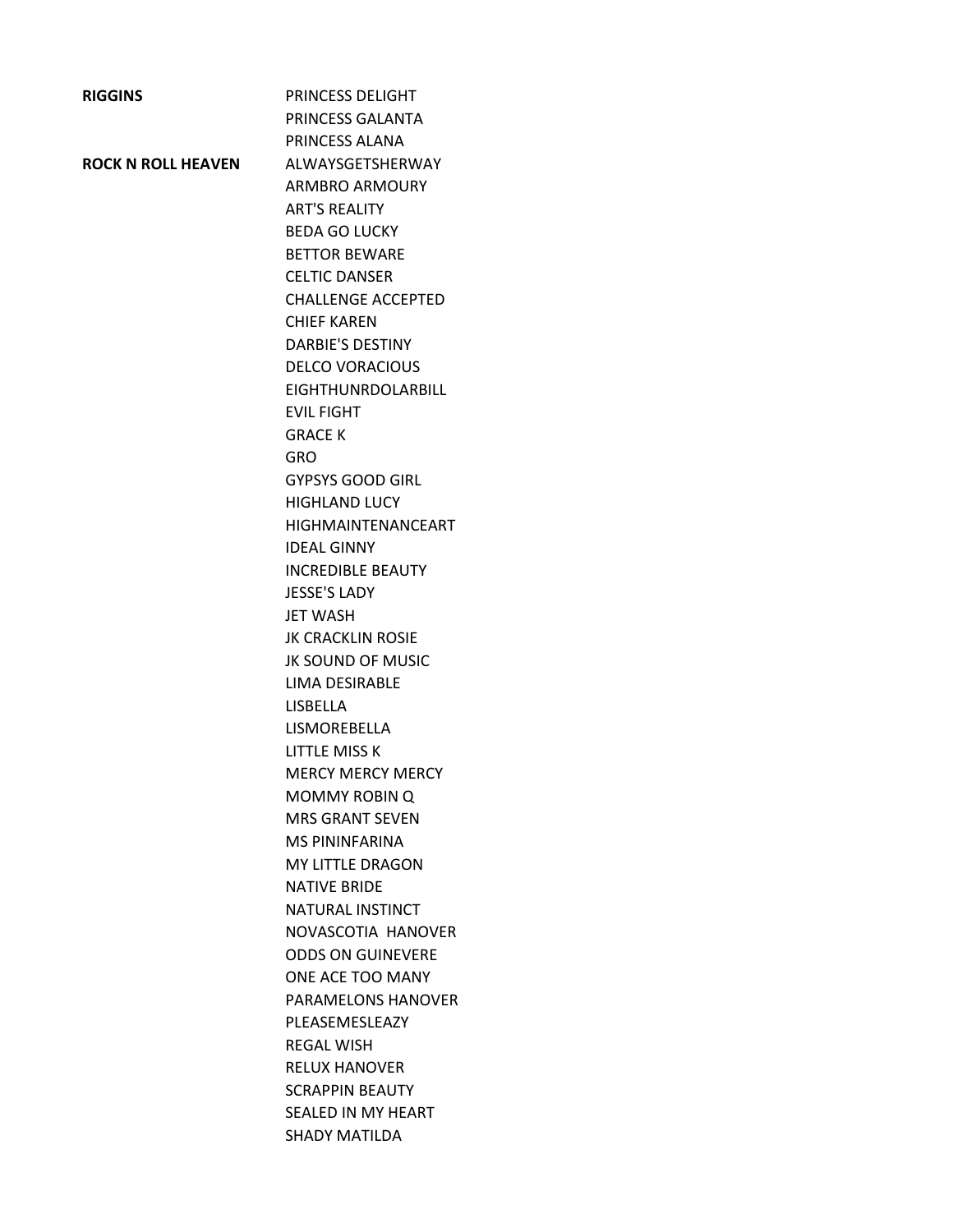| <b>RIGGINS</b>     | PRINCESS DELIGHT                       |
|--------------------|----------------------------------------|
|                    | PRINCESS GALANTA                       |
|                    | PRINCESS ALANA                         |
| ROCK N ROLL HEAVEN | ALWAYSGETSHERWAY                       |
|                    | <b>ARMBRO ARMOURY</b>                  |
|                    | <b>ART'S REALITY</b>                   |
|                    | <b>BEDA GO LUCKY</b>                   |
|                    | <b>BETTOR BEWARE</b>                   |
|                    | <b>CELTIC DANSER</b>                   |
|                    | <b>CHALLENGE ACCEPTED</b>              |
|                    | <b>CHIEF KAREN</b>                     |
|                    | <b>DARBIE'S DESTINY</b>                |
|                    | <b>DELCO VORACIOUS</b>                 |
|                    | EIGHTHUNRDOLARBILL                     |
|                    | <b>EVIL FIGHT</b>                      |
|                    | <b>GRACE K</b>                         |
|                    | <b>GRO</b>                             |
|                    | <b>GYPSYS GOOD GIRL</b>                |
|                    | <b>HIGHLAND LUCY</b>                   |
|                    | HIGHMAINTENANCEART                     |
|                    | <b>IDEAL GINNY</b>                     |
|                    | <b>INCREDIBLE BEAUTY</b>               |
|                    | <b>JESSE'S LADY</b>                    |
|                    | <b>JET WASH</b>                        |
|                    | <b>JK CRACKLIN ROSIE</b>               |
|                    | JK SOUND OF MUSIC                      |
|                    | LIMA DESIRABLE                         |
|                    | <b>LISBELLA</b>                        |
|                    | <b>LISMOREBELLA</b>                    |
|                    | LITTLE MISS K                          |
|                    | <b>MERCY MERCY MERCY</b>               |
|                    | <b>MOMMY ROBIN Q</b>                   |
|                    | <b>MRS GRANT SFVFN</b>                 |
|                    | <b>MS PININFARINA</b>                  |
|                    | <b>MY LITTLE DRAGON</b>                |
|                    | <b>NATIVE BRIDE</b>                    |
|                    | NATURAL INSTINCT                       |
|                    | NOVASCOTIA HANOVER                     |
|                    | <b>ODDS ON GUINEVERE</b>               |
|                    | ONE ACE TOO MANY<br>PARAMELONS HANOVER |
|                    | PLEASEMESLEAZY                         |
|                    | <b>REGAL WISH</b>                      |
|                    | <b>RELUX HANOVER</b>                   |
|                    | <b>SCRAPPIN BEAUTY</b>                 |
|                    | <b>SEALED IN MY HEART</b>              |
|                    |                                        |
|                    | <b>SHADY MATILDA</b>                   |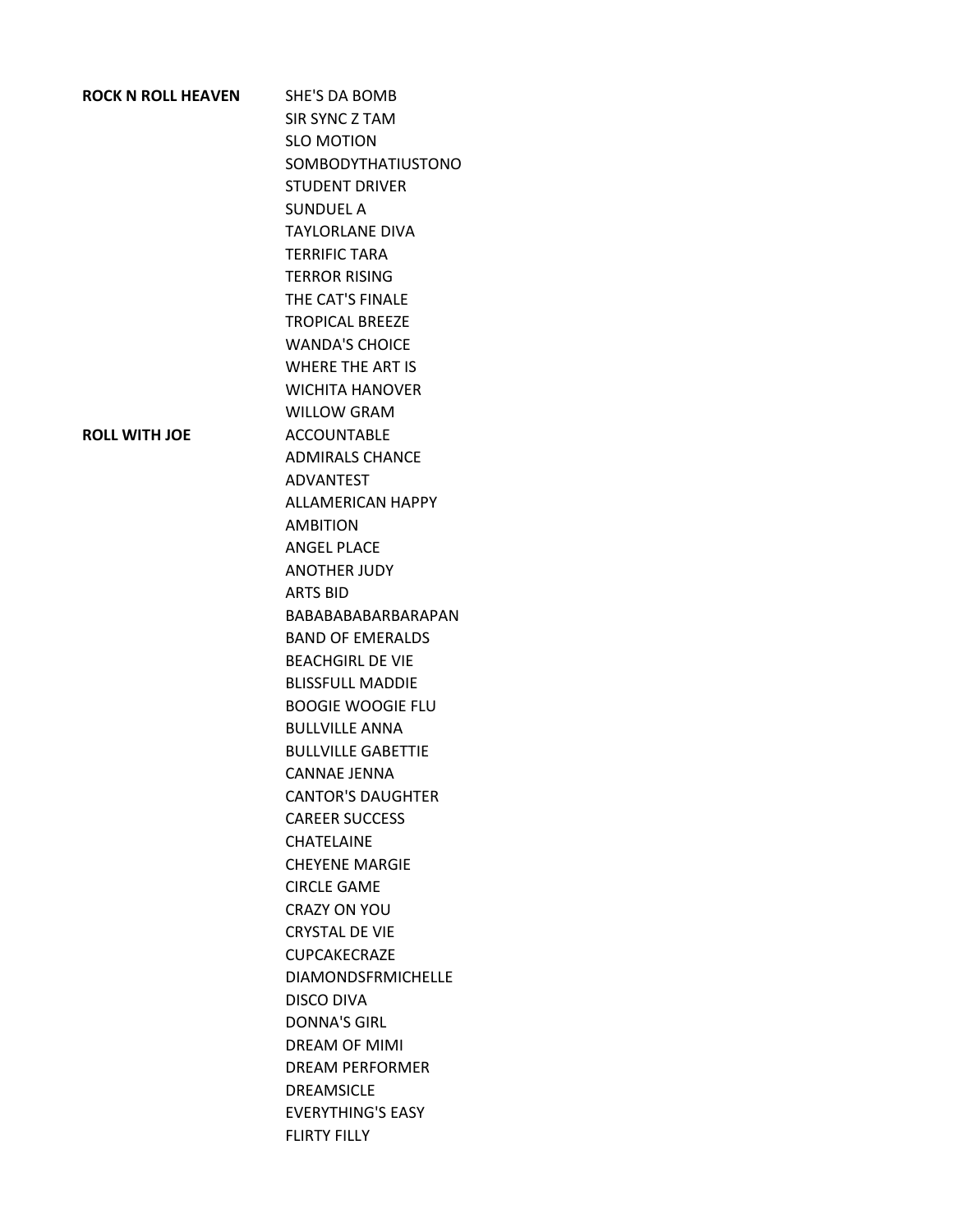| <b>ROCK N ROLL HEAVEN</b> | <b>SHE'S DA BOMB</b>      |
|---------------------------|---------------------------|
|                           | SIR SYNC Z TAM            |
|                           | <b>SLO MOTION</b>         |
|                           | SOMBODYTHATIUSTONO        |
|                           | <b>STUDENT DRIVER</b>     |
|                           | <b>SUNDUEL A</b>          |
|                           | <b>TAYLORLANE DIVA</b>    |
|                           | <b>TERRIFIC TARA</b>      |
|                           | <b>TERROR RISING</b>      |
|                           | THE CAT'S FINALE          |
|                           | <b>TROPICAL BREEZE</b>    |
|                           | <b>WANDA'S CHOICE</b>     |
|                           | <b>WHERE THE ART IS</b>   |
|                           | <b>WICHITA HANOVER</b>    |
|                           | <b>WILLOW GRAM</b>        |
| <b>ROLL WITH JOE</b>      | <b>ACCOUNTABLE</b>        |
|                           | <b>ADMIRALS CHANCE</b>    |
|                           | <b>ADVANTEST</b>          |
|                           | <b>ALLAMERICAN HAPPY</b>  |
|                           | <b>AMBITION</b>           |
|                           | <b>ANGEL PLACE</b>        |
|                           | <b>ANOTHER JUDY</b>       |
|                           | <b>ARTS BID</b>           |
|                           | BABABABABARBARAPAN        |
|                           | <b>BAND OF EMERALDS</b>   |
|                           | <b>BEACHGIRL DE VIE</b>   |
|                           | <b>BLISSFULL MADDIE</b>   |
|                           | <b>BOOGIE WOOGIE FLU</b>  |
|                           | <b>BULLVILLE ANNA</b>     |
|                           | <b>BULLVILLE GABETTIE</b> |
|                           | <b>CANNAF JENNA</b>       |
|                           | <b>CANTOR'S DAUGHTER</b>  |
|                           | <b>CAREER SUCCESS</b>     |
|                           | <b>CHATELAINE</b>         |
|                           | <b>CHEYENE MARGIE</b>     |
|                           | <b>CIRCLE GAME</b>        |
|                           | <b>CRAZY ON YOU</b>       |
|                           | <b>CRYSTAL DE VIE</b>     |
|                           | <b>CUPCAKFCRAZF</b>       |
|                           | <b>DIAMONDSFRMICHELLE</b> |
|                           | DISCO DIVA                |
|                           | <b>DONNA'S GIRL</b>       |
|                           | <b>DREAM OF MIMI</b>      |
|                           | <b>DREAM PERFORMER</b>    |
|                           | <b>DREAMSICLE</b>         |
|                           | <b>EVERYTHING'S EASY</b>  |
|                           | <b>FLIRTY FILLY</b>       |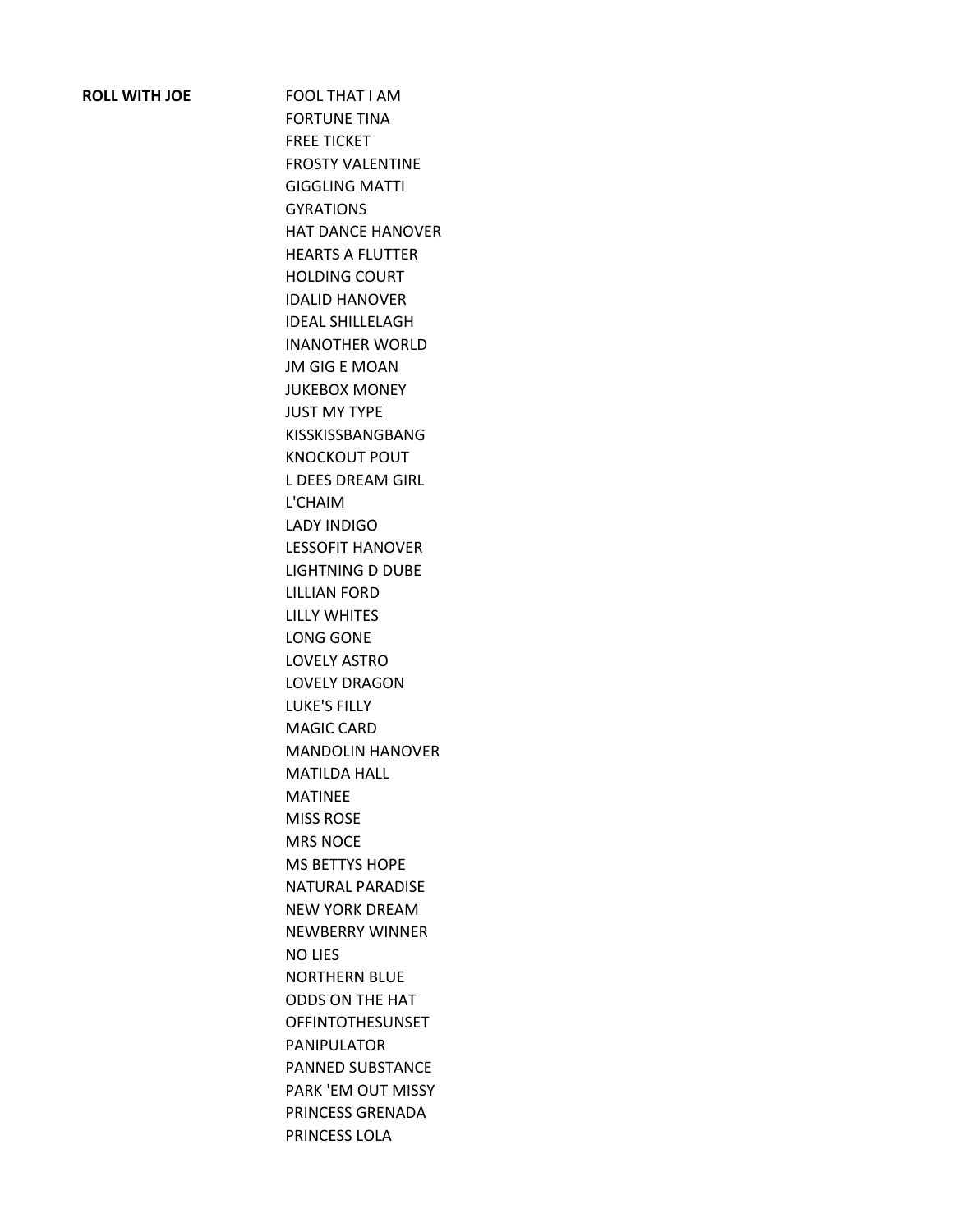**ROLL WITH JOE** FOOL THAT I AM FORTUNE TINA FREE TICKET FROSTY VALENTINE GIGGLING MATTI GYRATIONS HAT DANCE HANOVER HEARTS A FLUTTER HOLDING COURT IDALID HANOVER IDEAL SHILLELAGH INANOTHER WORLD JM GIG E MOAN JUKEBOX MONEY JUST MY TYPE KISSKISSBANGBANG KNOCKOUT POUT L DEES DREAM GIRL L'CHAIM LADY INDIGO LESSOFIT HANOVER LIGHTNING D DUBE LILLIAN FORD LILLY WHITES LONG GONE LOVELY ASTRO LOVELY DRAGON LUKE'S FILLY MAGIC CARD MANDOLIN HANOVER MATILDA HALL MATINEE MISS ROSE MRS NOCE MS BETTYS HOPE NATURAL PARADISE NEW YORK DREAM NEWBERRY WINNER NO LIES NORTHERN BLUE ODDS ON THE HAT OFFINTOTHESUNSET PANIPULATOR PANNED SUBSTANCE PARK 'EM OUT MISSY PRINCESS GRENADA PRINCESS LOLA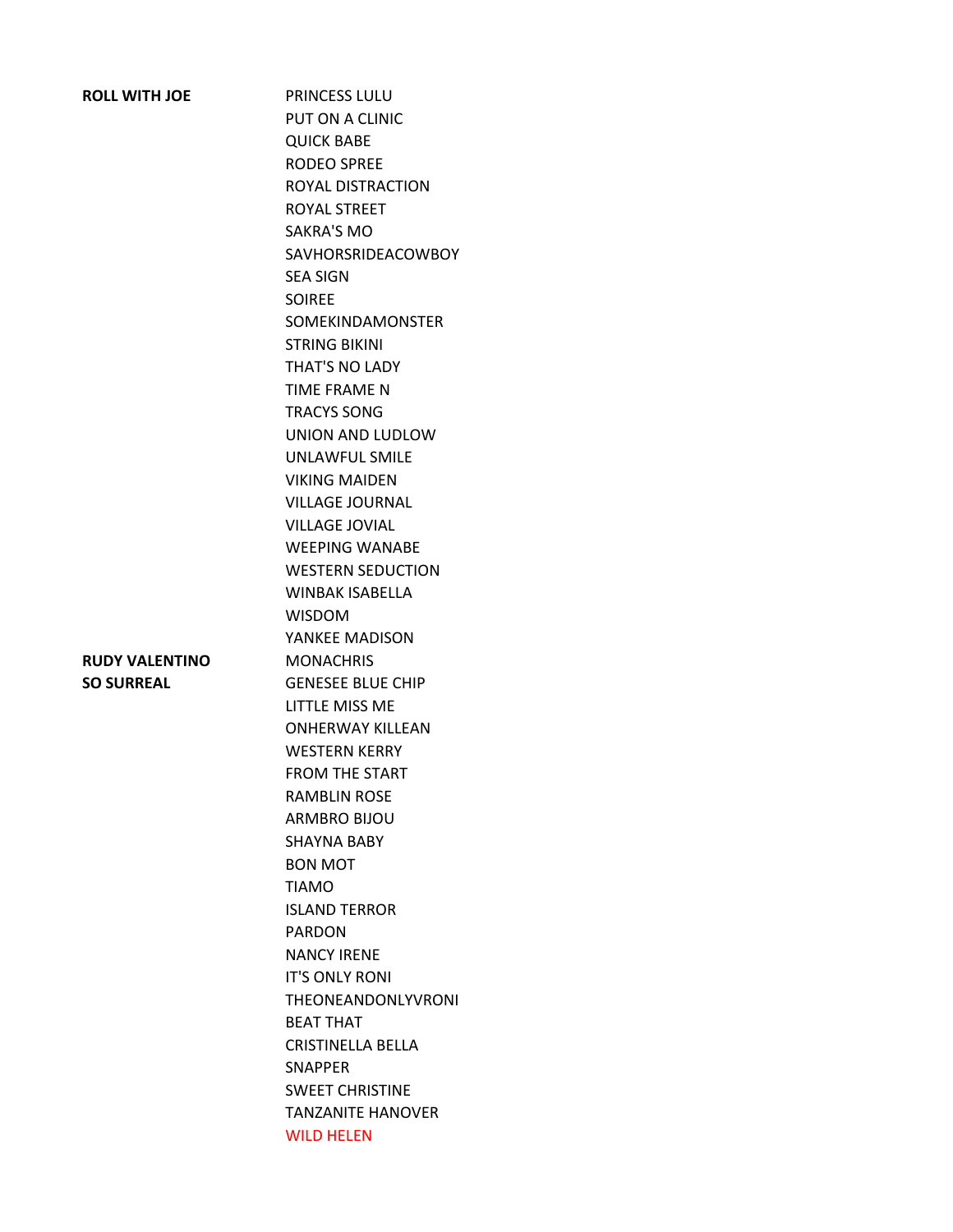| <b>ROLL WITH JOE</b>  | PRINCESS LULU            |
|-----------------------|--------------------------|
|                       | PUT ON A CLINIC          |
|                       | <b>QUICK BABE</b>        |
|                       | <b>RODEO SPREE</b>       |
|                       | ROYAL DISTRACTION        |
|                       | ROYAL STREET             |
|                       | <b>SAKRA'S MO</b>        |
|                       | SAVHORSRIDEACOWBOY       |
|                       | <b>SEA SIGN</b>          |
|                       | <b>SOIREE</b>            |
|                       | <b>SOMEKINDAMONSTER</b>  |
|                       | <b>STRING BIKINI</b>     |
|                       | THAT'S NO LADY           |
|                       | <b>TIME FRAME N</b>      |
|                       | <b>TRACYS SONG</b>       |
|                       | UNION AND LUDLOW         |
|                       | <b>UNLAWFUL SMILE</b>    |
|                       | <b>VIKING MAIDEN</b>     |
|                       | <b>VILLAGE JOURNAL</b>   |
|                       | <b>VILLAGE JOVIAL</b>    |
|                       | <b>WEEPING WANABE</b>    |
|                       | <b>WESTERN SEDUCTION</b> |
|                       | <b>WINBAK ISABELLA</b>   |
|                       | <b>WISDOM</b>            |
|                       | YANKEE MADISON           |
| <b>RUDY VALENTINO</b> | <b>MONACHRIS</b>         |
| <b>SO SURREAL</b>     | <b>GENESEE BLUE CHIP</b> |
|                       | LITTLE MISS ME           |
|                       | <b>ONHERWAY KILLEAN</b>  |
|                       | <b>WESTERN KERRY</b>     |
|                       | <b>FROM THE START</b>    |
|                       | <b>RAMBLIN ROSE</b>      |
|                       | <b>ARMBRO BIJOU</b>      |
|                       | <b>SHAYNA BABY</b>       |
|                       | <b>BON MOT</b>           |
|                       | <b>TIAMO</b>             |
|                       | <b>ISLAND TERROR</b>     |
|                       | <b>PARDON</b>            |
|                       | <b>NANCY IRENE</b>       |
|                       | <b>IT'S ONLY RONI</b>    |
|                       | THEONEANDONLYVRONI       |
|                       | <b>BEAT THAT</b>         |
|                       | <b>CRISTINELLA BELLA</b> |
|                       | <b>SNAPPER</b>           |
|                       | <b>SWEET CHRISTINE</b>   |
|                       | <b>TANZANITE HANOVER</b> |
|                       | <b>WILD HELEN</b>        |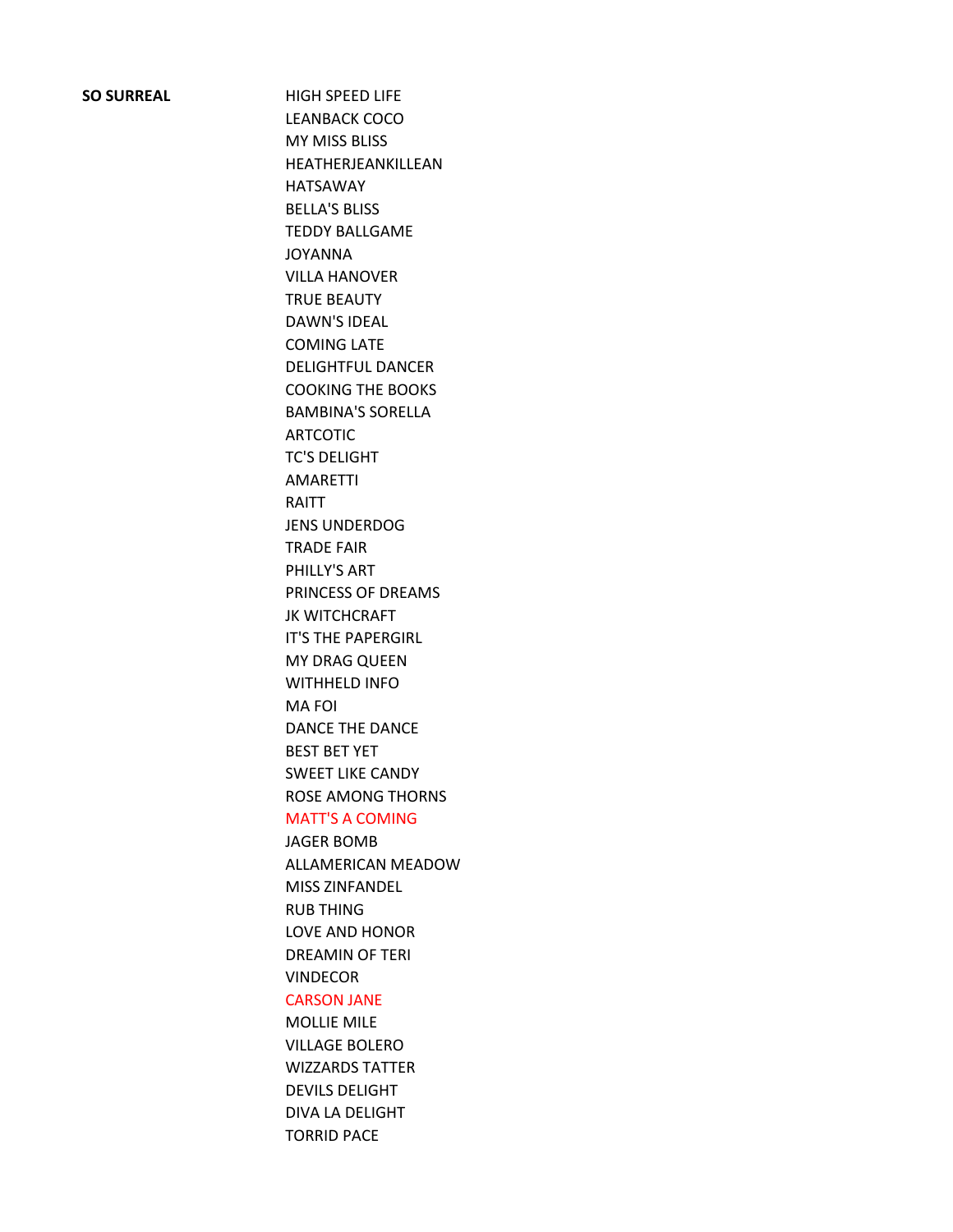## **SO SURREAL** HIGH SPEED LIFE

LEANBACK COCO MY MISS BLISS HEATHERJEANKILLEAN HATSAWAY BELLA'S BLISS TEDDY BALLGAME JOYANNA VILLA HANOVER TRUE BEAUTY DAWN'S IDEAL COMING LATE DELIGHTFUL DANCER COOKING THE BOOKS BAMBINA'S SORELLA ARTCOTIC TC'S DELIGHT AMARETTI RAITT JENS UNDERDOG TRADE FAIR PHILLY'S ART PRINCESS OF DREAMS JK WITCHCRAFT IT'S THE PAPERGIRL MY DRAG QUEEN WITHHELD INFO MA FOI DANCE THE DANCE BEST BET YET SWEET LIKE CANDY ROSE AMONG THORNS MATT'S A COMING JAGER BOMB ALLAMERICAN MEADOW MISS ZINFANDEL RUB THING LOVE AND HONOR DREAMIN OF TERI VINDECOR CARSON JANE MOLLIE MILE VILLAGE BOLERO WIZZARDS TATTER DEVILS DELIGHT

DIVA LA DELIGHT

TORRID PACE